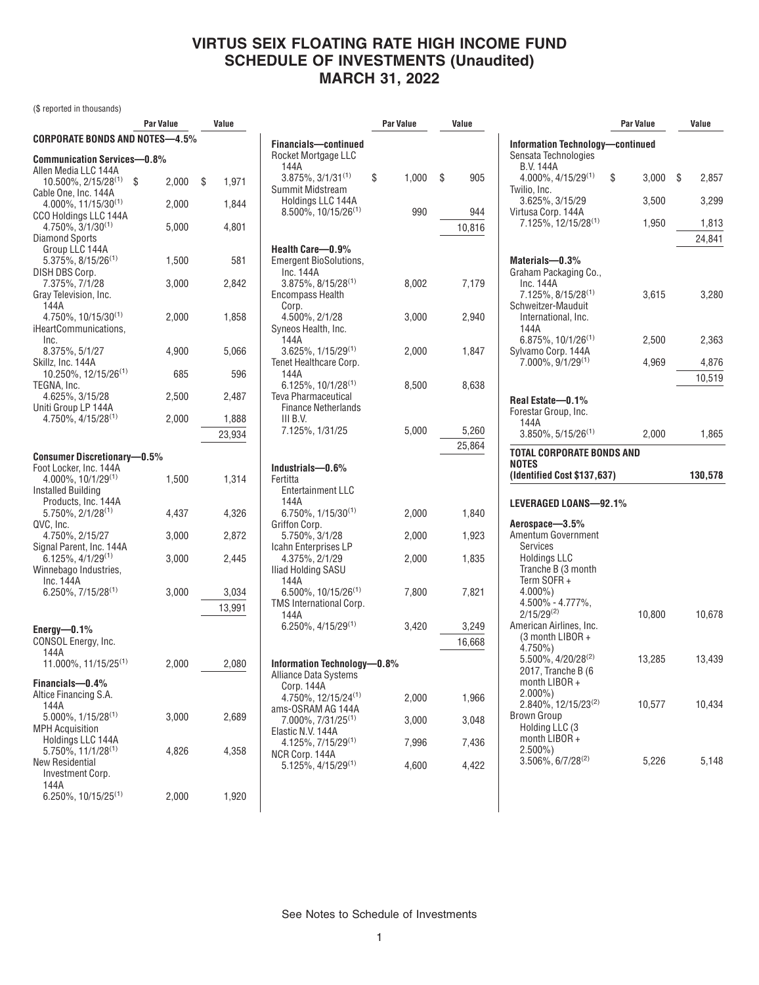(\$ reported in thousands)

|                                                        |   | Par Value | Value       |
|--------------------------------------------------------|---|-----------|-------------|
| CORPORATE BONDS AND NOTES-4.5%                         |   |           |             |
| <b>Communication Services-0.8%</b>                     |   |           |             |
| Allen Media LLC 144A                                   |   |           |             |
| 10.500%, 2/15/28 <sup>(1)</sup>                        | S | 2,000     | \$<br>1,971 |
| Cable One, Inc. 144A                                   |   |           |             |
| $4.000\%$ , 11/15/30 <sup>(1)</sup>                    |   | 2,000     | 1,844       |
| CCO Holdings LLC 144A<br>4.750%, 3/1/30 <sup>(1)</sup> |   | 5,000     | 4,801       |
| <b>Diamond Sports</b>                                  |   |           |             |
| Group LLC 144A                                         |   |           |             |
| $5.375\%$ , 8/15/26 <sup>(1)</sup>                     |   | 1,500     | 581         |
| DISH DBS Corp.                                         |   |           |             |
| 7.375%, 7/1/28                                         |   | 3,000     | 2,842       |
| Gray Television, Inc.<br>144A                          |   |           |             |
| $4.750\%$ , 10/15/30 <sup>(1)</sup>                    |   | 2,000     | 1,858       |
| iHeartCommunications,                                  |   |           |             |
| Inc.                                                   |   |           |             |
| 8.375%, 5/1/27                                         |   | 4,900     | 5,066       |
| Skillz, Inc. 144A<br>10.250%, 12/15/26(1)              |   | 685       | 596         |
| TEGNA, Inc.                                            |   |           |             |
| 4.625%, 3/15/28                                        |   | 2,500     | 2,487       |
| Uniti Group LP 144A                                    |   |           |             |
| 4.750%, 4/15/28 <sup>(1)</sup>                         |   | 2,000     | 1,888       |
|                                                        |   |           | 23,934      |
| <b>Consumer Discretionary-0.5%</b>                     |   |           |             |
| Foot Locker, Inc. 144A                                 |   |           |             |
| 4.000%, 10/1/29(1)                                     |   | 1,500     | 1,314       |
| Installed Building                                     |   |           |             |
| Products, Inc. 144A                                    |   |           |             |
| $5.750\%, 2/1/28^{(1)}$                                |   | 4,437     | 4,326       |
| QVC, Inc.<br>4.750%, 2/15/27                           |   | 3,000     | 2,872       |
| Signal Parent, Inc. 144A                               |   |           |             |
| $6.125\%, 4/1/29^{(1)}$                                |   | 3,000     | 2,445       |
| Winnebago Industries,                                  |   |           |             |
| Inc. 144A                                              |   |           |             |
| $6.250\%, 7/15/28^{(1)}$                               |   | 3,000     | 3,034       |
|                                                        |   |           | 13,991      |
| Energy- $0.1\%$                                        |   |           |             |
| CONSOL Energy, Inc.                                    |   |           |             |
| 144A                                                   |   |           |             |
| 11.000%, $11/15/25^{(1)}$                              |   | 2,000     | 2,080       |
| Financials-0.4%                                        |   |           |             |
| Altice Financing S.A.                                  |   |           |             |
| 144A                                                   |   |           |             |
| 5.000%, 1/15/28(1)                                     |   | 3,000     | 2,689       |
| <b>MPH Acquisition</b><br>Holdings LLC 144A            |   |           |             |
| 5.750%, 11/1/28(1)                                     |   | 4,826     | 4,358       |
| New Residential                                        |   |           |             |
| Investment Corp.                                       |   |           |             |
| 144A                                                   |   |           |             |
| 6.250%, 10/15/25 <sup>(1)</sup>                        |   | 2,000     | 1,920       |

| Value  |
|--------|
|        |
| 905    |
| 944    |
| 10,816 |
|        |
| 7,179  |
| 2,940  |
| 1,847  |
| 8,638  |
| 5,260  |
| 25,864 |
|        |
|        |
| 1,840  |
| 1,923  |
| 1,835  |
| 7,821  |
| 3,249  |
| 16,668 |
|        |
|        |
| 1,966  |
|        |
| 3,048  |
| 7,436  |
|        |

|                                                                                          | Par Value        | Value   |
|------------------------------------------------------------------------------------------|------------------|---------|
| Information Technology-continued                                                         |                  |         |
| Sensata Technologies<br><b>B.V. 144A</b>                                                 |                  |         |
| $4.000\%$ , $4/15/29^{(1)}$                                                              | \$<br>$3,000$ \$ | 2,857   |
| Twilio, Inc.<br>3.625%, 3/15/29                                                          | 3,500            | 3,299   |
| Virtusa Corp. 144A<br>7.125%, 12/15/28(1)                                                | 1,950            | 1,813   |
|                                                                                          |                  | 24,841  |
| Materials-0.3%<br>Graham Packaging Co.,<br>Inc. 144A                                     |                  |         |
| $7.125\%$ , $8/15/28^{(1)}$<br>Schweitzer-Mauduit<br>International, Inc.<br>144A         | 3,615            | 3,280   |
| $6.875\%$ , 10/1/26 <sup>(1)</sup><br>Sylvamo Corp. 144A                                 | 2,500            | 2,363   |
| $7.000\%$ , $9/1/29^{(1)}$                                                               | 4,969            | 4,876   |
|                                                                                          |                  | 10,519  |
| Real Estate-0.1%<br>Forestar Group, Inc.<br>144A                                         |                  |         |
| $3.850\%$ , 5/15/26 <sup>(1)</sup>                                                       | 2,000            | 1,865   |
| TOTAL CORPORATE BONDS AND<br>NOTES                                                       |                  |         |
| (Identified Cost \$137,637)                                                              |                  | 130,578 |
| LEVERAGED LOANS-92.1%                                                                    |                  |         |
| Aerospace-3.5%                                                                           |                  |         |
| Amentum Government                                                                       |                  |         |
| Services<br><b>Holdings LLC</b><br>Tranche B (3 month                                    |                  |         |
| Term SOFR+<br>$4.000\%$ )                                                                |                  |         |
| 4.500% - 4.777%,<br>$2/15/29^{(2)}$                                                      | 10,800           | 10,678  |
| American Airlines, Inc.<br>(3 month LIBOR +<br>4.750%)                                   |                  |         |
| 5.500%, 4/20/28 <sup>(2)</sup><br>2017, Tranche B (6<br>month LIBOR +<br>$2.000\%)$      | 13,285           | 13,439  |
| 2.840%, 12/15/23 <sup>(2)</sup><br><b>Brown Group</b><br>Holding LLC (3<br>month LIBOR + | 10,577           | 10,434  |
| $2.500\%$<br>$3.506\%$ , 6/7/28 <sup>(2)</sup>                                           | 5,226            | 5,148   |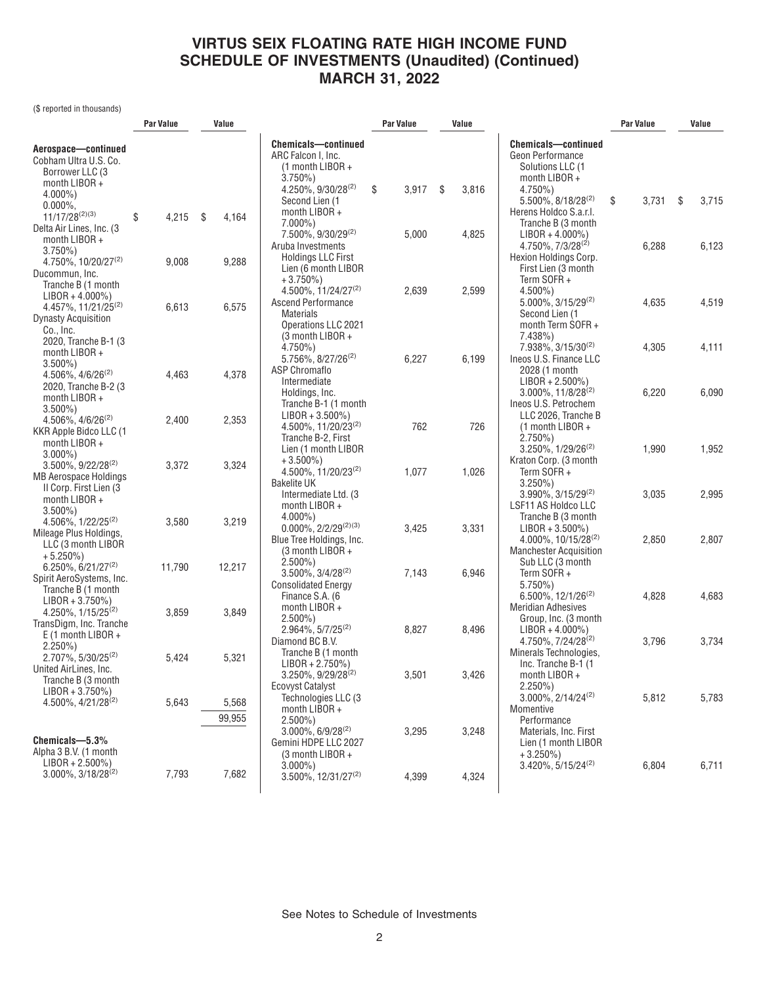(\$ reported in thousands)

|                                                                                                           | Par Value   | Value       |                                                                                                           | Par Value   | Value       |                                                                                                              | Par Value   | Value       |  |
|-----------------------------------------------------------------------------------------------------------|-------------|-------------|-----------------------------------------------------------------------------------------------------------|-------------|-------------|--------------------------------------------------------------------------------------------------------------|-------------|-------------|--|
| Aerospace-continued<br>Cobham Ultra U.S. Co.<br>Borrower LLC (3<br>month LIBOR +                          |             |             | <b>Chemicals-continued</b><br>ARC Falcon I, Inc.<br>$(1$ month LIBOR +<br>$3.750\%$<br>4.250%, 9/30/28(2) | \$<br>3,917 | \$<br>3,816 | <b>Chemicals-continued</b><br>Geon Performance<br>Solutions LLC (1<br>month $LIBOR +$<br>$4.750\%$           |             |             |  |
| $4.000\%$ )<br>$0.000\%$ ,<br>$11/17/28^{(2)(3)}$<br>Delta Air Lines, Inc. (3                             | \$<br>4,215 | \$<br>4,164 | Second Lien (1<br>month LIBOR +<br>$7.000\%$                                                              |             |             | 5.500%, 8/18/28 <sup>(2)</sup><br>Herens Holdco S.a.r.l.<br>Tranche B (3 month                               | \$<br>3,731 | \$<br>3,715 |  |
| month $LIBOR +$<br>$3.750\%$<br>4.750%, 10/20/27 <sup>(2)</sup>                                           | 9,008       | 9,288       | 7.500%, 9/30/29 <sup>(2)</sup><br>Aruba Investments<br><b>Holdings LLC First</b><br>Lien (6 month LIBOR   | 5,000       | 4,825       | $LIBOR + 4.000\%)$<br>4.750%, 7/3/28(2)<br>Hexion Holdings Corp.<br>First Lien (3 month                      | 6,288       | 6,123       |  |
| Ducommun, Inc.<br>Tranche B (1 month<br>$LIBOR + 4.000\%)$<br>4.457%, 11/21/25 <sup>(2)</sup>             | 6,613       | 6,575       | $+3.750\%)$<br>4.500%, 11/24/27(2)<br><b>Ascend Performance</b>                                           | 2,639       | 2,599       | Term SOFR +<br>$4.500\%$ )<br>$5.000\%$ , 3/15/29 <sup>(2)</sup>                                             | 4,635       | 4,519       |  |
| <b>Dynasty Acquisition</b><br>Co., Inc.<br>2020, Tranche B-1 (3)<br>month $LIBOR +$                       |             |             | Materials<br>Operations LLC 2021<br>(3 month LIBOR +<br>4.750%)                                           |             |             | Second Lien (1<br>month Term SOFR +<br>$7.438\%$ )<br>7.938%, 3/15/30(2)                                     | 4,305       | 4,111       |  |
| $3.500\%$ )<br>$4.506\%$ , $4/6/26^{(2)}$<br>2020, Tranche B-2 (3                                         | 4,463       | 4,378       | 5.756%, 8/27/26 <sup>(2)</sup><br><b>ASP Chromaflo</b><br>Intermediate                                    | 6,227       | 6,199       | Ineos U.S. Finance LLC<br>2028 (1 month<br>$LIBOR + 2.500\%)$                                                |             |             |  |
| month $LIBOR +$<br>$3.500\%$ )<br>4.506%, 4/6/26 <sup>(2)</sup><br>KKR Apple Bidco LLC (1                 | 2,400       | 2,353       | Holdings, Inc.<br>Tranche B-1 (1 month<br>$LIBOR + 3.500\%)$<br>4.500%, 11/20/23 <sup>(2)</sup>           | 762         | 726         | $3.000\%$ , 11/8/28 <sup>(2)</sup><br>Ineos U.S. Petrochem<br>LLC 2026, Tranche B<br>$(1$ month LIBOR +      | 6,220       | 6,090       |  |
| month $LIBOR +$<br>$3.000\%$ )<br>3.500%, 9/22/28 <sup>(2)</sup>                                          | 3,372       | 3,324       | Tranche B-2, First<br>Lien (1 month LIBOR<br>$+3.500\%$ )<br>4.500%, 11/20/23 <sup>(2)</sup>              | 1,077       | 1,026       | $2.750\%$<br>3.250%, 1/29/26 <sup>(2)</sup><br>Kraton Corp. (3 month<br>Term SOFR+                           | 1,990       | 1,952       |  |
| <b>MB Aerospace Holdings</b><br>II Corp. First Lien (3)<br>month LIBOR +<br>$3.500\%$ )                   |             |             | <b>Bakelite UK</b><br>Intermediate Ltd. (3<br>month LIBOR +                                               |             |             | $3.250\%$<br>$3.990\%$ , $3/15/29^{(2)}$<br>LSF11 AS Holdco LLC                                              | 3,035       | 2,995       |  |
| $4.506\%$ , $1/22/25^{(2)}$<br>Mileage Plus Holdings,<br>LLC (3 month LIBOR                               | 3,580       | 3,219       | $4.000\%$<br>$0.000\%$ , 2/2/29 <sup>(2)(3)</sup><br>Blue Tree Holdings, Inc.<br>(3 month LIBOR +         | 3,425       | 3,331       | Tranche B (3 month<br>$LIBOR + 3.500\%)$<br>4.000%, 10/15/28 <sup>(2)</sup><br><b>Manchester Acquisition</b> | 2,850       | 2,807       |  |
| $+5.250\%$<br>$6.250\%$ , $6/21/27^{(2)}$<br>Spirit AeroSystems, Inc.<br>Tranche B (1 month               | 11,790      | 12,217      | $2.500\%$<br>$3.500\%$ , $3/4/28^{(2)}$<br><b>Consolidated Energy</b>                                     | 7,143       | 6,946       | Sub LLC (3 month<br>Term SOFR+<br>$5.750\%$                                                                  |             |             |  |
| $LIBOR + 3.750\%)$<br>4.250%, 1/15/25 <sup>(2)</sup><br>TransDigm, Inc. Tranche                           | 3,859       | 3,849       | Finance S.A. (6<br>month $LIBOR +$<br>$2.500\%$ )<br>$2.964\%, 5/7/25^{(2)}$                              | 8,827       | 8,496       | $6.500\%$ , $12/1/26^{(2)}$<br><b>Meridian Adhesives</b><br>Group, Inc. (3 month<br>$LIBOR + 4.000\%)$       | 4,828       | 4,683       |  |
| $E(1 \text{ month LIBOR} +$<br>$2.250\%$ )<br>$2.707\%$ , 5/30/25 <sup>(2)</sup><br>United AirLines, Inc. | 5,424       | 5,321       | Diamond BC B.V.<br>Tranche B (1 month<br>$LIBOR + 2.750\%)$                                               |             |             | 4.750%, 7/24/28 <sup>(2)</sup><br>Minerals Technologies,<br>Inc. Tranche B-1 (1                              | 3,796       | 3,734       |  |
| Tranche B (3 month<br>$LIBOR + 3.750\%)$<br>4.500%, 4/21/28 <sup>(2)</sup>                                | 5,643       | 5,568       | 3.250%, 9/29/28 <sup>(2)</sup><br>Ecovyst Catalyst<br>Technologies LLC (3<br>month $LIBOR +$              | 3,501       | 3,426       | month $LIBOR +$<br>$2.250\%$ )<br>$3.000\%$ , $2/14/24^{(2)}$<br>Momentive                                   | 5,812       | 5,783       |  |
| Chemicals-5.3%                                                                                            |             | 99,955      | $2.500\%$<br>$3.000\%$ , 6/9/28 <sup>(2)</sup><br>Gemini HDPE LLC 2027                                    | 3,295       | 3,248       | Performance<br>Materials, Inc. First<br>Lien (1 month LIBOR                                                  |             |             |  |
| Alpha 3 B.V. (1 month<br>$LIBOR + 2.500\%)$<br>$3.000\%$ , $3/18/28^{(2)}$                                | 7,793       | 7,682       | $(3$ month LIBOR +<br>$3.000\%$<br>$3.500\%$ . 12/31/27 <sup>(2)</sup>                                    | 4,399       | 4,324       | $+3.250\%$<br>$3.420\%$ , 5/15/24 <sup>(2)</sup>                                                             | 6,804       | 6,711       |  |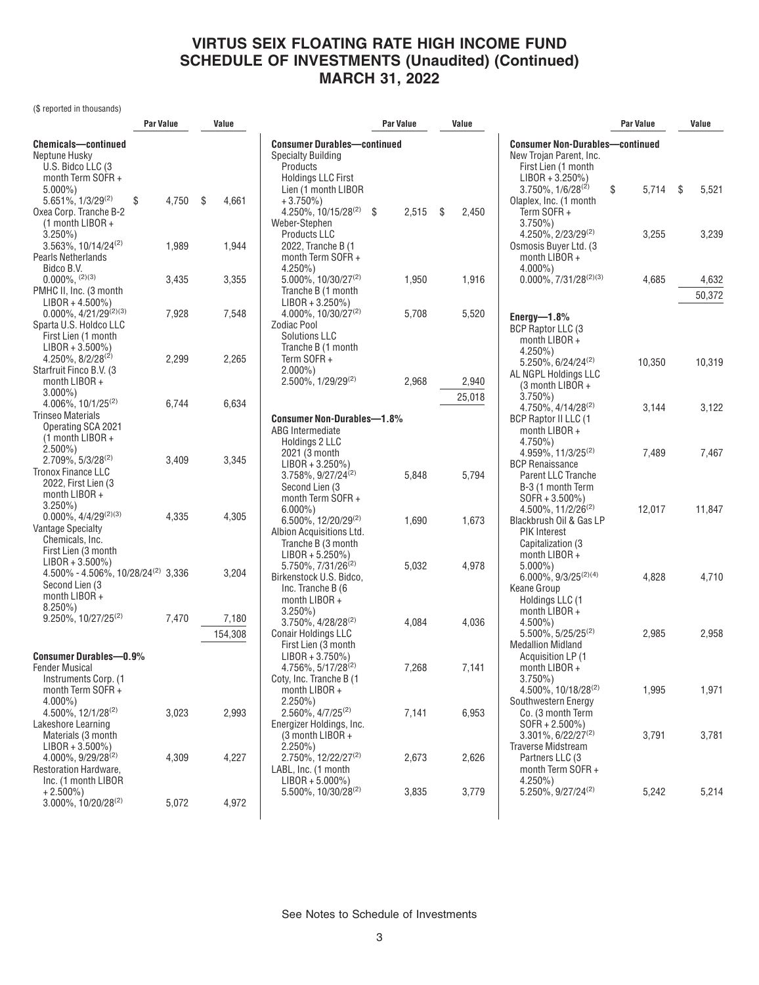(\$ reported in thousands)

|                                                                                                                      | Par Value |     | Value   | Par Value                                                                                            |    | Value |             | Value                                                                                               |             |      |                 |
|----------------------------------------------------------------------------------------------------------------------|-----------|-----|---------|------------------------------------------------------------------------------------------------------|----|-------|-------------|-----------------------------------------------------------------------------------------------------|-------------|------|-----------------|
| <b>Chemicals-continued</b><br>Neptune Husky                                                                          |           |     |         | <b>Consumer Durables-continued</b><br><b>Specialty Building</b>                                      |    |       |             | <b>Consumer Non-Durables-continued</b><br>New Trojan Parent, Inc.<br>First Lien (1 month            |             |      |                 |
| U.S. Bidco LLC (3<br>month Term SOFR+<br>$5.000\%$ )<br>5.651%, 1/3/29(2)                                            | 4,750     | -\$ |         | Products<br><b>Holdings LLC First</b><br>Lien (1 month LIBOR                                         |    |       |             | $LIBOR + 3.250\%)$<br>$3.750\%$ , $1/6/28^{(2)}$                                                    | \$<br>5,714 | - \$ | 5,521           |
| \$<br>Oxea Corp. Tranche B-2<br>$(1$ month LIBOR +<br>$3.250\%$                                                      |           |     | 4,661   | $+3.750\%$<br>$4.250\%$ , 10/15/28 <sup>(2)</sup><br>Weber-Stephen<br><b>Products LLC</b>            | \$ | 2,515 | \$<br>2,450 | Olaplex, Inc. (1 month<br>Term SOFR+<br>$3.750\%$<br>$4.250\%$ , $2/23/29^{(2)}$                    | 3,255       |      | 3,239           |
| $3.563\%$ , 10/14/24 <sup>(2)</sup><br>Pearls Netherlands<br>Bidco B.V.                                              | 1,989     |     | 1,944   | 2022, Tranche B (1<br>month Term SOFR+<br>4.250%)                                                    |    |       |             | Osmosis Buyer Ltd. (3)<br>month $LIBOR +$<br>$4.000\%$ )                                            |             |      |                 |
| $0.000\%$ , $(2)(3)$<br>PMHC II, Inc. (3 month                                                                       | 3,435     |     | 3,355   | $5.000\%$ , 10/30/27 <sup>(2)</sup><br>Tranche B (1 month                                            |    | 1,950 | 1,916       | $0.000\%$ , 7/31/28 <sup>(2)(3)</sup>                                                               | 4,685       |      | 4,632<br>50,372 |
| $LIBOR + 4.500\%)$<br>$0.000\%$ , 4/21/29 <sup>(2)(3)</sup>                                                          | 7,928     |     | 7,548   | $LIBOR + 3.250\%)$<br>4.000%, 10/30/27(2)                                                            |    | 5,708 | 5,520       | Energy- $1.8\%$                                                                                     |             |      |                 |
| Sparta U.S. Holdco LLC<br>First Lien (1 month<br>$LIBOR + 3.500\%)$                                                  |           |     |         | <b>Zodiac Pool</b><br><b>Solutions LLC</b><br>Tranche B (1 month                                     |    |       |             | BCP Raptor LLC (3<br>month $LIBOR +$<br>$4.250\%$ )                                                 |             |      |                 |
| $4.250\%$ , $8/2/28^{(2)}$<br>Starfruit Finco B.V. (3)<br>month $LIBOR +$                                            | 2,299     |     | 2,265   | Term SOFR+<br>$2.000\%$ )<br>2.500%, 1/29/29 <sup>(2)</sup>                                          |    | 2,968 | 2,940       | $5.250\%$ , 6/24/24 <sup>(2)</sup><br>AL NGPL Holdings LLC<br>(3 month LIBOR +                      | 10,350      |      | 10,319          |
| $3.000\%$ )<br>4.006%, 10/1/25(2)                                                                                    | 6,744     |     | 6,634   |                                                                                                      |    |       | 25,018      | $3.750\%$<br>4.750%, 4/14/28 <sup>(2)</sup>                                                         | 3,144       |      | 3,122           |
| Trinseo Materials<br>Operating SCA 2021<br>$(1$ month LIBOR +                                                        |           |     |         | <b>Consumer Non-Durables-1.8%</b><br>ABG Intermediate<br>Holdings 2 LLC                              |    |       |             | <b>BCP Raptor II LLC (1</b><br>month $LIBOR +$<br>$4.750\%$ )                                       |             |      |                 |
| $2.500\%$ )<br>$2.709\%$ , 5/3/28 <sup>(2)</sup><br><b>Tronox Finance LLC</b>                                        | 3,409     |     | 3,345   | 2021 (3 month<br>$LIBOR + 3.250\%)$<br>3.758%, 9/27/24 <sup>(2)</sup>                                |    |       |             | $4.959\%$ , 11/3/25 <sup>(2)</sup><br><b>BCP Renaissance</b>                                        | 7,489       |      | 7,467           |
| 2022, First Lien (3<br>month $LIBOR +$<br>$3.250\%$                                                                  |           |     |         | Second Lien (3<br>month Term SOFR+<br>$6.000\%$ )                                                    |    | 5,848 | 5,794       | Parent LLC Tranche<br>B-3 (1 month Term<br>$SOFR + 3.500\%)$<br>$4.500\%$ , $11/2/26^{(2)}$         | 12,017      |      | 11,847          |
| $0.000\%$ , $4/4/29^{(2)(3)}$<br><b>Vantage Specialty</b><br>Chemicals, Inc.                                         | 4,335     |     | 4,305   | $6.500\%$ , 12/20/29 <sup>(2)</sup><br>Albion Acquisitions Ltd.<br>Tranche B (3 month                |    | 1,690 | 1,673       | Blackbrush Oil & Gas LP<br><b>PIK Interest</b><br>Capitalization (3)                                |             |      |                 |
| First Lien (3 month)<br>$LIBOR + 3.500\%)$<br>$4.500\% - 4.506\%$ , 10/28/24 <sup>(2)</sup> 3,336<br>Second Lien (3) |           |     | 3,204   | $LIBOR + 5.250\%)$<br>5.750%, 7/31/26 <sup>(2)</sup><br>Birkenstock U.S. Bidco,<br>Inc. Tranche B (6 |    | 5,032 | 4,978       | month $LIBOR +$<br>$5.000\%$ )<br>$6.000\%$ , $9/3/25^{(2)(4)}$<br>Keane Group                      | 4,828       |      | 4,710           |
| month LIBOR +<br>$8.250\%$<br>$9.250\%$ , $10/27/25^{(2)}$                                                           | 7,470     |     | 7,180   | month LIBOR $+$<br>$3.250\%$<br>3.750%, 4/28/28 <sup>(2)</sup>                                       |    | 4,084 | 4,036       | Holdings LLC (1<br>month LIBOR +<br>$4.500\%$ )                                                     |             |      |                 |
|                                                                                                                      |           |     | 154,308 | <b>Conair Holdings LLC</b><br>First Lien (3 month                                                    |    |       |             | $5.500\%$ , $5/25/25^{(2)}$<br><b>Medallion Midland</b>                                             | 2,985       |      | 2,958           |
| <b>Consumer Durables-0.9%</b><br><b>Fender Musical</b><br>Instruments Corp. (1)<br>month Term SOFR +                 |           |     |         | $LIBOR + 3.750\%)$<br>$4.756\%, 5/17/28^{(2)}$<br>Coty, Inc. Tranche B (1<br>month LIBOR +           |    | 7,268 | 7,141       | Acquisition LP (1)<br>month LIBOR +<br>$3.750\%$ )<br>$4.500\%$ , 10/18/28 <sup>(2)</sup>           | 1,995       |      | 1,971           |
| $4.000\%$ )<br>4.500%, 12/1/28(2)<br>Lakeshore Learning<br>Materials (3 month                                        | 3,023     |     | 2,993   | $2.250\%)$<br>$2.560\%$ , $4/7/25^{(2)}$<br>Energizer Holdings, Inc.<br>$(3$ month LIBOR +           |    | 7,141 | 6,953       | Southwestern Energy<br>Co. (3 month Term<br>$SOFR + 2.500\%)$<br>$3.301\%$ , 6/22/27 <sup>(2)</sup> | 3,791       |      | 3,781           |
| $LIBOR + 3.500\%)$<br>4.000%, 9/29/28 <sup>(2)</sup><br>Restoration Hardware,<br>Inc. (1 month LIBOR                 | 4,309     |     | 4,227   | $2.250\%)$<br>2.750%, 12/22/27 <sup>(2)</sup><br>LABL, Inc. (1 month<br>$LIBOR + 5.000\%)$           |    | 2,673 | 2,626       | <b>Traverse Midstream</b><br>Partners LLC (3<br>month Term SOFR+<br>$4.250\%$ )                     |             |      |                 |
| $+2.500\%$<br>3.000%, 10/20/28 <sup>(2)</sup>                                                                        | 5,072     |     | 4,972   | 5.500%, 10/30/28(2)                                                                                  |    | 3,835 | 3,779       | 5.250%, 9/27/24 <sup>(2)</sup>                                                                      | 5,242       |      | 5,214           |
|                                                                                                                      |           |     |         |                                                                                                      |    |       |             |                                                                                                     |             |      |                 |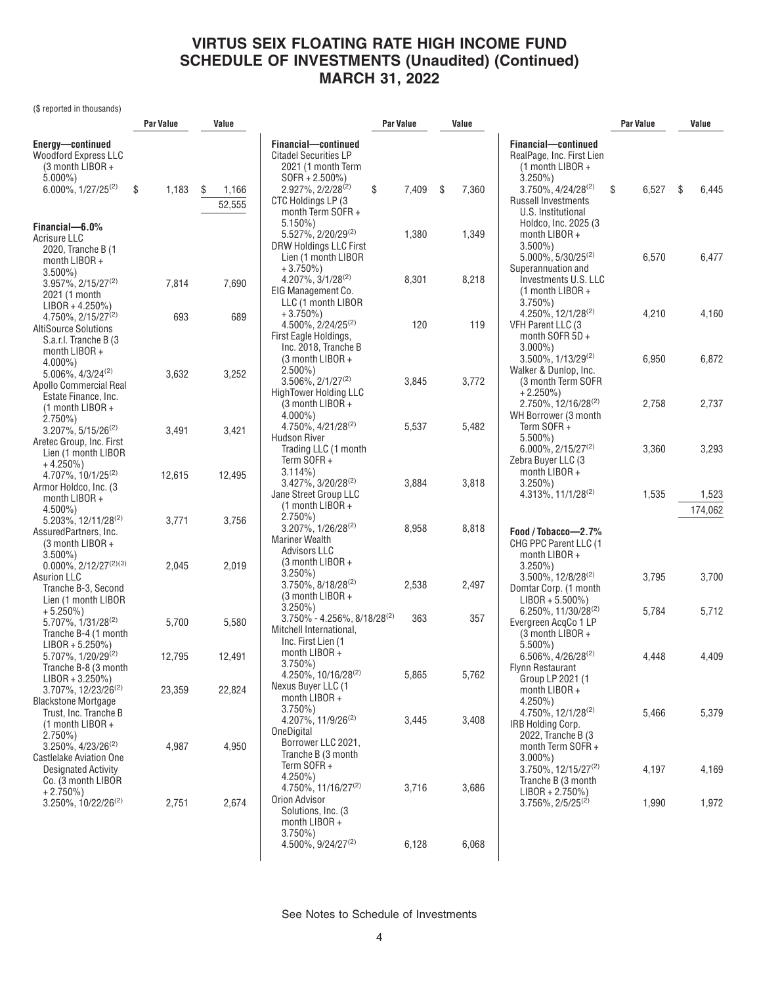(\$ reported in thousands)

|                                                                                                                  | <b>Par Value</b> | Value                |                                                                                                       | Par Value<br>Value |             |                                                                                                               | Par Value      | Value            |
|------------------------------------------------------------------------------------------------------------------|------------------|----------------------|-------------------------------------------------------------------------------------------------------|--------------------|-------------|---------------------------------------------------------------------------------------------------------------|----------------|------------------|
| Energy-continued<br><b>Woodford Express LLC</b><br>$(3$ month LIBOR +<br>$5.000\%$ )                             |                  |                      | Financial-continued<br><b>Citadel Securities LP</b><br>2021 (1 month Term<br>$SOFR + 2.500\%)$        |                    |             | Financial-continued<br>RealPage, Inc. First Lien<br>(1 month LIBOR +<br>$3.250\%$ )                           |                |                  |
| $6.000\%$ , $1/27/25^{(2)}$<br>Financial-6.0%                                                                    | \$<br>1,183      | S<br>1,166<br>52,555 | \$<br>2.927%, 2/2/28 <sup>(2)</sup><br>CTC Holdings LP (3)<br>month Term SOFR +<br>$5.150\%$          | 7,409              | \$<br>7,360 | $3.750\%$ , $4/24/28^{(2)}$<br><b>Russell Investments</b><br>U.S. Institutional<br>Holdco, Inc. 2025 (3)      | 6,527<br>\$    | - \$<br>6,445    |
| Acrisure LLC<br>2020, Tranche B (1<br>month LIBOR +                                                              |                  |                      | 5.527%, 2/20/29 <sup>(2)</sup><br>DRW Holdings LLC First<br>Lien (1 month LIBOR                       | 1,380              | 1,349       | month LIBOR +<br>$3.500\%$ )<br>$5.000\%$ , $5/30/25^{(2)}$                                                   | 6,570          | 6,477            |
| $3.500\%$ )<br>$3.957\%$ , $2/15/27^{(2)}$<br>2021 (1 month                                                      | 7,814            | 7,690                | $+3.750\%$ )<br>$4.207\%$ , $3/1/28^{(2)}$<br>EIG Management Co.                                      | 8,301              | 8,218       | Superannuation and<br>Investments U.S. LLC<br>(1 month LIBOR +                                                |                |                  |
| $LIBOR + 4.250\%)$<br>$4.750\%$ , $2/15/27^{(2)}$<br><b>AltiSource Solutions</b>                                 | 693              | 689                  | LLC (1 month LIBOR<br>$+3.750\%$ )<br>$4.500\%$ , $2/24/25^{(2)}$<br>First Eagle Holdings,            | 120                | 119         | $3.750\%$<br>4.250%, $12/1/28^{(2)}$<br>VFH Parent LLC (3<br>month SOFR 5D +                                  | 4,210          | 4,160            |
| S.a.r.l. Tranche B (3<br>month LIBOR +<br>$4.000\%$ )                                                            |                  |                      | Inc. 2018, Tranche B<br>(3 month LIBOR +<br>$2.500\%$ )                                               |                    |             | $3.000\%$ )<br>$3.500\%$ , $1/13/29^{(2)}$<br>Walker & Dunlop, Inc.                                           | 6,950          | 6,872            |
| $5.006\%$ , $4/3/24^{(2)}$<br>Apollo Commercial Real<br>Estate Finance, Inc.<br>$(1$ month LIBOR +               | 3,632            | 3,252                | $3.506\%$ , $2/1/27^{(2)}$<br><b>HighTower Holding LLC</b><br>(3 month LIBOR +                        | 3,845              | 3,772       | (3 month Term SOFR<br>$+2.250\%$<br>$2.750\%$ , 12/16/28 <sup>(2)</sup>                                       | 2,758          | 2,737            |
| $2.750\%)$<br>$3.207\%$ , $5/15/26^{(2)}$<br>Aretec Group, Inc. First                                            | 3,491            | 3,421                | $4.000\%$ )<br>4.750%, 4/21/28 <sup>(2)</sup><br><b>Hudson River</b>                                  | 5,537              | 5,482       | WH Borrower (3 month<br>Term SOFR+<br>$5.500\%$ )                                                             |                |                  |
| Lien (1 month LIBOR<br>$+4.250\%$<br>4.707%, 10/1/25 <sup>(2)</sup>                                              | 12,615           | 12,495               | Trading LLC (1 month<br>Term SOFR $+$<br>$3.114\%$                                                    |                    |             | $6.000\%$ , 2/15/27 <sup>(2)</sup><br>Zebra Buyer LLC (3<br>month LIBOR +                                     | 3,360          | 3,293            |
| Armor Holdco, Inc. (3)<br>month LIBOR +<br>$4.500\%$ )                                                           |                  |                      | $3.427\%$ , $3/20/28^{(2)}$<br>Jane Street Group LLC<br>$(1$ month LIBOR +<br>$2.750\%)$              | 3,884              | 3,818       | $3.250\%$ )<br>4.313%, 11/1/28(2)                                                                             | 1,535          | 1,523<br>174,062 |
| $5.203\%$ , 12/11/28 <sup>(2)</sup><br>AssuredPartners, Inc.<br>(3 month LIBOR +<br>$3.500\%$ )                  | 3,771            | 3,756                | $3.207\%$ , $1/26/28^{(2)}$<br><b>Mariner Wealth</b><br><b>Advisors LLC</b>                           | 8,958              | 8,818       | Food / Tobacco-2.7%<br>CHG PPC Parent LLC (1<br>month LIBOR +                                                 |                |                  |
| $0.000\%$ , 2/12/27 <sup>(2)(3)</sup><br><b>Asurion LLC</b><br>Tranche B-3, Second<br>Lien (1 month LIBOR        | 2,045            | 2,019                | (3 month LIBOR +<br>$3.250\%$<br>$3.750\%$ , $8/18/28^{(2)}$<br>$(3 \text{ month LIBOR } +$           | 2,538              | 2,497       | $3.250\%$ )<br>$3.500\%$ , $12/8/28^{(2)}$<br>Domtar Corp. (1 month<br>$LIBOR + 5.500\%)$                     | 3,795          | 3,700            |
| $+5.250\%)$<br>5.707%, 1/31/28 <sup>(2)</sup><br>Tranche B-4 (1 month<br>$LIBOR + 5.250\%)$                      | 5,700            | 5,580                | $3.250\%$ )<br>$3.750\% - 4.256\%$ , $8/18/28^{(2)}$<br>Mitchell International,<br>Inc. First Lien (1 | 363                | 357         | $6.250\%$ , 11/30/28 <sup>(2)</sup><br>Evergreen AcqCo 1 LP<br>$(3$ month LIBOR +<br>$5.500\%$ )              | 5,784          | 5,712            |
| 5.707%, 1/20/29 <sup>(2)</sup><br>Tranche B-8 (3 month<br>$LIBOR + 3.250\%)$                                     | 12,795           | 12,491               | month LIBOR +<br>$3.750\%$<br>4.250%, 10/16/28(2)                                                     | 5,865              | 5,762       | $6.506\%$ , 4/26/28 <sup>(2)</sup><br>Flynn Restaurant<br>Group LP 2021 (1                                    | 4,448          | 4,409            |
| $3.707\%$ , 12/23/26 <sup>(2)</sup><br><b>Blackstone Mortgage</b><br>Trust, Inc. Tranche B<br>$(1$ month LIBOR + | 23,359           | 22,824               | Nexus Buyer LLC (1<br>month $LIBOR +$<br>$3.750\%$<br>4.207%, 11/9/26 <sup>(2)</sup>                  | 3,445              | 3,408       | month LIBOR +<br>$4.250\%$ )<br>4.750%, 12/1/28(2)<br>IRB Holding Corp.                                       | 5,466          | 5,379            |
| $2.750\%$<br>3.250%, 4/23/26 <sup>(2)</sup><br><b>Castlelake Aviation One</b>                                    | 4,987            | 4,950                | OneDigital<br>Borrower LLC 2021,<br>Tranche B (3 month<br>Term SOFR+                                  |                    |             | 2022, Tranche B (3)<br>month Term SOFR +<br>$3.000\%$ )                                                       |                |                  |
| Designated Activity<br>Co. (3 month LIBOR<br>$+2.750\%)$<br>$3.250\%$ , 10/22/26 <sup>(2)</sup>                  | 2,751            | 2,674                | $4.250\%$<br>4.750%, 11/16/27 <sup>(2)</sup><br>Orion Advisor                                         | 3,716              | 3,686       | $3.750\%$ , 12/15/27 <sup>(2)</sup><br>Tranche B (3 month<br>$LIBOR + 2.750\%)$<br>$3.756\%$ , $2/5/25^{(2)}$ | 4,197<br>1,990 | 4,169<br>1,972   |
|                                                                                                                  |                  |                      | Solutions, Inc. (3)<br>month LIBOR +<br>$3.750\%$                                                     |                    |             |                                                                                                               |                |                  |
|                                                                                                                  |                  |                      | 4.500%, 9/24/27 <sup>(2)</sup>                                                                        | 6,128              | 6,068       |                                                                                                               |                |                  |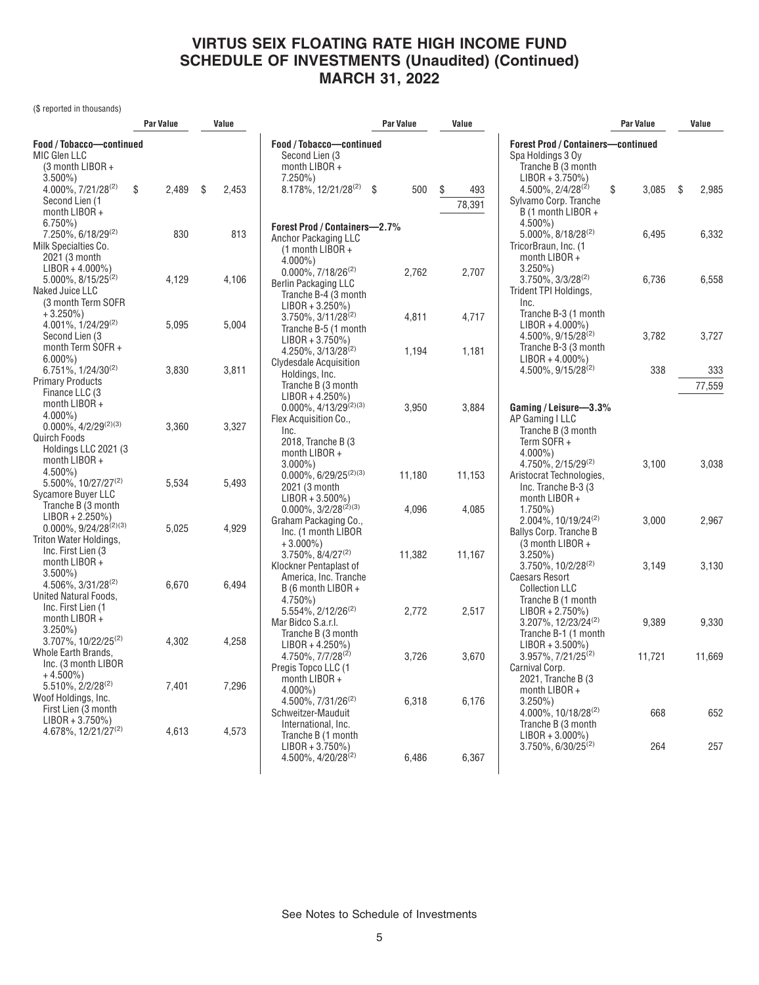(\$ reported in thousands)

|                                                                                                              | Par Value |       | Value       |                                                                                                                      | <b>Par Value</b> |                 | Value               |                                                                                                            | <b>Par Value</b> |    | Value  |
|--------------------------------------------------------------------------------------------------------------|-----------|-------|-------------|----------------------------------------------------------------------------------------------------------------------|------------------|-----------------|---------------------|------------------------------------------------------------------------------------------------------------|------------------|----|--------|
| Food / Tobacco-continued<br>MIC Glen LLC<br>(3 month LIBOR +<br>$3.500\%$ )                                  |           |       |             | Food / Tobacco-continued<br>Second Lien (3)<br>month LIBOR +<br>$7.250\%$                                            |                  |                 |                     | <b>Forest Prod / Containers-continued</b><br>Spa Holdings 3 Oy<br>Tranche B (3 month<br>$LIBOR + 3.750\%)$ |                  |    |        |
| 4.000%, 7/21/28 <sup>(2)</sup><br>Second Lien (1<br>month LIBOR +<br>$6.750\%$                               | \$        | 2,489 | \$<br>2,453 | 8.178%, 12/21/28(2)                                                                                                  | -\$              | 500             | \$<br>493<br>78,391 | $4.500\%$ , $2/4/28^{(2)}$<br>Sylvamo Corp. Tranche<br>B (1 month LIBOR +<br>$4.500\%$ )                   | \$<br>3,085      | -S | 2,985  |
| 7.250%, 6/18/29 <sup>(2)</sup><br>Milk Specialties Co.<br>2021 (3 month<br>$LIBOR + 4.000\%)$                |           | 830   | 813         | Forest Prod / Containers-2.7%<br>Anchor Packaging LLC<br>(1 month LIBOR +<br>$4.000\%$ )                             |                  |                 |                     | $5.000\%$ , $8/18/28^{(2)}$<br>TricorBraun, Inc. (1<br>month LIBOR +<br>$3.250\%$ )                        | 6,495            |    | 6,332  |
| 5.000%, 8/15/25 <sup>(2)</sup><br>Naked Juice LLC<br>(3 month Term SOFR<br>$+3.250\%$                        |           | 4,129 | 4,106       | $0.000\%$ , $7/18/26^{(2)}$<br><b>Berlin Packaging LLC</b><br>Tranche B-4 (3 month<br>$LIBOR + 3.250\%)$             |                  | 2,762           | 2,707               | $3.750\%$ , $3/3/28^{(2)}$<br>Trident TPI Holdings,<br>Inc.<br>Tranche B-3 (1 month                        | 6,736            |    | 6,558  |
| 4.001%, 1/24/29(2)<br>Second Lien (3)<br>month Term SOFR+<br>$6.000\%$ )                                     |           | 5,095 | 5,004       | 3.750%, 3/11/28 <sup>(2)</sup><br>Tranche B-5 (1 month<br>$LIBOR + 3.750\%)$<br>4.250%, 3/13/28 <sup>(2)</sup>       |                  | 4,811<br>1,194  | 4,717<br>1,181      | $LIBOR + 4.000\%)$<br>4.500%, 9/15/28 <sup>(2)</sup><br>Tranche B-3 (3 month<br>$LIBOR + 4.000\%$          | 3,782            |    | 3,727  |
| $6.751\%$ , $1/24/30^{(2)}$                                                                                  |           | 3.830 | 3.811       | Clydesdale Acquisition<br>Holdings, Inc.                                                                             |                  |                 |                     | 4.500%, 9/15/28 <sup>(2)</sup>                                                                             | 338              |    | 333    |
| <b>Primary Products</b>                                                                                      |           |       |             | Tranche B (3 month                                                                                                   |                  |                 |                     |                                                                                                            |                  |    | 77,559 |
| Finance LLC (3<br>month LIBOR +<br>$4.000\%$ )                                                               |           |       |             | $LIBOR + 4.250\%)$<br>$0.000\%$ , 4/13/29 <sup>(2)(3)</sup><br>Flex Acquisition Co.,                                 |                  | 3,950           | 3,884               | Gaming / Leisure-3.3%<br>AP Gaming I LLC                                                                   |                  |    |        |
| $0.000\%$ , $4/2/29^{(2)(3)}$<br>Quirch Foods<br>Holdings LLC 2021 (3)<br>month LIBOR +                      |           | 3,360 | 3,327       | Inc.<br>2018, Tranche B (3)<br>month LIBOR $+$<br>$3.000\%$ )                                                        |                  |                 |                     | Tranche B (3 month<br>Term SOFR+<br>$4.000\%$ )<br>4.750%, 2/15/29(2)                                      | 3,100            |    | 3,038  |
| $4.500\%$<br>5.500%, 10/27/27 <sup>(2)</sup><br>Sycamore Buyer LLC<br>Tranche B (3 month                     |           | 5,534 | 5,493       | $0.000\%$ , 6/29/25 <sup>(2)(3)</sup><br>2021 (3 month<br>$LIBOR + 3.500\%)$<br>$0.000\%$ , 3/2/28 <sup>(2)(3)</sup> |                  | 11,180<br>4,096 | 11,153<br>4,085     | Aristocrat Technologies,<br>Inc. Tranche B-3 (3)<br>month LIBOR +<br>$1.750\%$                             |                  |    |        |
| $LIBOR + 2.250\%)$<br>$0.000\%$ , 9/24/28 <sup>(2)(3)</sup><br>Triton Water Holdings,<br>Inc. First Lien (3) |           | 5.025 | 4,929       | Graham Packaging Co<br>Inc. (1 month LIBOR<br>$+3.000\%$ )<br>3.750%, 8/4/27 <sup>(2)</sup>                          |                  |                 |                     | 2.004%, 10/19/24 <sup>(2)</sup><br>Ballys Corp. Tranche B<br>(3 month LIBOR +                              | 3,000            |    | 2,967  |
| month LIBOR +<br>$3.500\%$ )<br>4.506%, 3/31/28 <sup>(2)</sup><br>United Natural Foods,                      |           | 6.670 | 6,494       | Klockner Pentaplast of<br>America, Inc. Tranche<br>B (6 month LIBOR +                                                |                  | 11,382          | 11,167              | $3.250\%$<br>$3.750\%$ , $10/2/28^{(2)}$<br><b>Caesars Resort</b><br><b>Collection LLC</b>                 | 3.149            |    | 3,130  |
| Inc. First Lien (1<br>month LIBOR +<br>$3.250\%$<br>$3.707\%$ . 10/22/25 <sup>(2)</sup>                      |           | 4.302 | 4.258       | $4.750\%$<br>5.554%, 2/12/26 <sup>(2)</sup><br>Mar Bidco S.a.r.l.<br>Tranche B (3 month                              |                  | 2,772           | 2,517               | Tranche B (1 month<br>$LIBOR + 2.750\%)$<br>3.207%, 12/23/24(2)<br>Tranche B-1 (1 month                    | 9,389            |    | 9,330  |
| Whole Earth Brands,<br>Inc. (3 month LIBOR<br>$+4.500\%$ )                                                   |           |       |             | $LIBOR + 4.250\%)$<br>4.750%, 7/7/28 <sup>(2)</sup><br>Pregis Topco LLC (1<br>month LIBOR +                          |                  | 3,726           | 3,670               | $LIBOR + 3.500\%)$<br>3.957%, 7/21/25 <sup>(2)</sup><br>Carnival Corp.<br>2021, Tranche B (3               | 11,721           |    | 11,669 |
| 5.510%, 2/2/28 <sup>(2)</sup><br>Woof Holdings, Inc.<br>First Lien (3 month<br>$LIBOR + 3.750\%)$            |           | 7,401 | 7,296       | $4.000\%$ )<br>$4.500\%$ , $7/31/26^{(2)}$<br>Schweitzer-Mauduit                                                     |                  | 6,318           | 6,176               | month LIBOR +<br>$3.250\%$<br>4.000%, 10/18/28 <sup>(2)</sup>                                              | 668              |    | 652    |
| 4.678%, 12/21/27 <sup>(2)</sup>                                                                              |           | 4,613 | 4,573       | International, Inc.<br>Tranche B (1 month<br>$LIBOR + 3.750\%)$<br>4.500%, 4/20/28 <sup>(2)</sup>                    |                  | 6,486           | 6,367               | Tranche B (3 month<br>$LIBOR + 3.000\%)$<br>$3.750\%$ , 6/30/25 <sup>(2)</sup>                             | 264              |    | 257    |
|                                                                                                              |           |       |             |                                                                                                                      |                  |                 |                     |                                                                                                            |                  |    |        |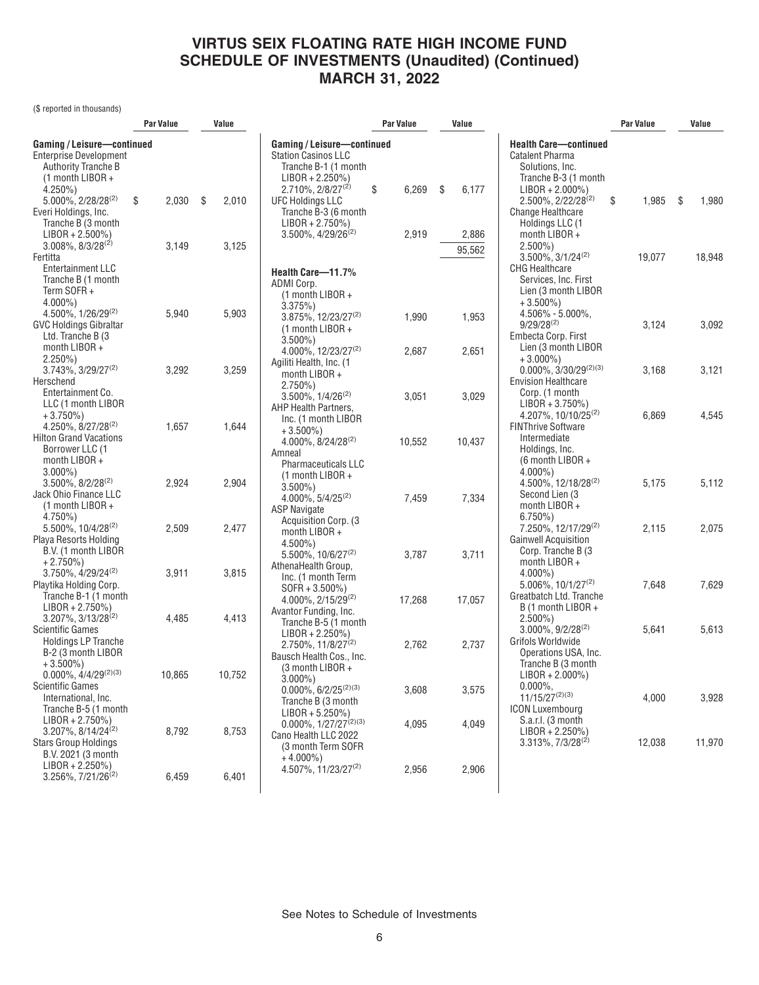(\$ reported in thousands)

|                                                                                                                                 | <b>Par Value</b> |                | Value          |                                                                                                                                      |    | Par Value<br>Value |     |                |                                                                                                                                 | <b>Par Value</b> |    | Value  |
|---------------------------------------------------------------------------------------------------------------------------------|------------------|----------------|----------------|--------------------------------------------------------------------------------------------------------------------------------------|----|--------------------|-----|----------------|---------------------------------------------------------------------------------------------------------------------------------|------------------|----|--------|
| Gaming / Leisure-continued<br><b>Enterprise Development</b><br><b>Authority Tranche B</b><br>$(1$ month LIBOR +<br>$4.250\%$ )  |                  |                |                | Gaming / Leisure-continued<br><b>Station Casinos LLC</b><br>Tranche B-1 (1 month<br>$LIBOR + 2.250\%)$<br>$2.710\%$ , $2/8/27^{(2)}$ | \$ | 6,269              | -\$ | 6,177          | <b>Health Care-continued</b><br>Catalent Pharma<br>Solutions, Inc.<br>Tranche B-3 (1 month<br>$LIBOR + 2.000\%)$                |                  |    |        |
| $5.000\%$ , 2/28/28 <sup>(2)</sup><br>Everi Holdings, Inc.<br>Tranche B (3 month<br>$LIBOR + 2.500\%)$                          | \$               | 2,030          | \$<br>2,010    | <b>UFC Holdings LLC</b><br>Tranche B-3 (6 month<br>$LIBOR + 2.750\%)$<br>$3.500\%$ , $4/29/26^{(2)}$                                 |    | 2,919              |     | 2,886          | $2.500\%$ , $2/22/28^{(2)}$<br><b>Change Healthcare</b><br>Holdings LLC (1<br>month LIBOR +                                     | \$<br>1,985      | \$ | 1,980  |
| $3.008\%$ , $8/3/28^{(2)}$<br>Fertitta<br>Entertainment LLC<br>Tranche B (1 month<br>Term SOFR+<br>$4.000\%$ )                  |                  | 3,149          | 3,125          | Health Care-11.7%<br>ADMI Corp.<br>$(1$ month LIBOR +                                                                                |    |                    |     | 95,562         | $2.500\%$ )<br>$3.500\%$ , $3/1/24^{(2)}$<br><b>CHG Healthcare</b><br>Services, Inc. First<br>Lien (3 month LIBOR<br>$+3.500\%$ | 19,077           |    | 18,948 |
| 4.500%, 1/26/29(2)<br><b>GVC Holdings Gibraltar</b><br>Ltd. Tranche B (3)<br>month LIBOR +                                      |                  | 5,940          | 5,903          | 3.375%<br>$3.875\%, 12/23/27^{(2)}$<br>$(1$ month LIBOR +<br>$3.500\%$ )<br>$4.000\%$ , 12/23/27 <sup>(2)</sup>                      |    | 1,990<br>2,687     |     | 1,953<br>2,651 | $4.506\% - 5.000\%$ ,<br>$9/29/28^{(2)}$<br>Embecta Corp. First<br>Lien (3 month LIBOR                                          | 3,124            |    | 3,092  |
| $2.250\%)$<br>$3.743\%, 3/29/27^{(2)}$<br>Herschend<br>Entertainment Co.<br>LLC (1 month LIBOR                                  |                  | 3,292          | 3,259          | Agiliti Health, Inc. (1)<br>month $LIBOR +$<br>$2.750\%)$<br>$3.500\%$ , $1/4/26^{(2)}$                                              |    | 3,051              |     | 3,029          | $+3.000\%$<br>$0.000\%$ , 3/30/29 <sup>(2)(3)</sup><br><b>Envision Healthcare</b><br>Corp. (1 month<br>$LIBOR + 3.750\%)$       | 3.168            |    | 3,121  |
| $+3.750\%$<br>4.250%, 8/27/28 <sup>(2)</sup><br><b>Hilton Grand Vacations</b><br>Borrower LLC (1<br>month LIBOR +               |                  | 1,657          | 1,644          | AHP Health Partners,<br>Inc. (1 month LIBOR<br>$+3.500\%$<br>$4.000\%$ , $8/24/28^{(2)}$<br>Amneal                                   |    | 10,552             |     | 10,437         | 4.207%, 10/10/25 <sup>(2)</sup><br><b>FINThrive Software</b><br>Intermediate<br>Holdings, Inc.<br>$(6$ month LIBOR +            | 6,869            |    | 4,545  |
| $3.000\%$ )<br>$3.500\%$ , $8/2/28^{(2)}$<br>Jack Ohio Finance LLC<br>$(1$ month LIBOR +                                        |                  | 2,924          | 2,904          | <b>Pharmaceuticals LLC</b><br>$(1$ month LIBOR +<br>$3.500\%$ )<br>4.000%, 5/4/25(2)<br><b>ASP Navigate</b>                          |    | 7,459              |     | 7,334          | $4.000\%$ )<br>4.500%, 12/18/28 <sup>(2)</sup><br>Second Lien (3<br>month LIBOR +                                               | 5,175            |    | 5,112  |
| $4.750\%$<br>$5.500\%$ , $10/4/28^{(2)}$<br>Playa Resorts Holding<br>B.V. (1 month LIBOR<br>$+2.750\%$                          |                  | 2,509          | 2,477          | Acquisition Corp. (3)<br>month LIBOR +<br>$4.500\%$ )<br>5.500%, 10/6/27(2)<br>AthenaHealth Group,                                   |    | 3,787              |     | 3,711          | $6.750\%$<br>7.250%, 12/17/29 <sup>(2)</sup><br><b>Gainwell Acquisition</b><br>Corp. Tranche B (3<br>month LIBOR +              | 2.115            |    | 2,075  |
| $3.750\%$ , $4/29/24(2)$<br>Playtika Holding Corp.<br>Tranche B-1 (1 month<br>$LIBOR + 2.750\%)$<br>$3.207\%$ , $3/13/28^{(2)}$ |                  | 3,911<br>4,485 | 3,815<br>4,413 | Inc. (1 month Term<br>$SOFR + 3.500\%)$<br>$4.000\%$ , $2/15/29^{(2)}$<br>Avantor Funding, Inc.                                      |    | 17,268             |     | 17,057         | $4.000\%$ )<br>$5.006\%$ , $10/1/27^{(2)}$<br>Greatbatch Ltd. Tranche<br>B (1 month LIBOR +<br>$2.500\%$                        | 7,648            |    | 7,629  |
| <b>Scientific Games</b><br><b>Holdings LP Tranche</b><br>B-2 (3 month LIBOR<br>$+3.500\%$<br>$0.000\%, 4/4/29^{(2)(3)}$         |                  | 10,865         | 10,752         | Tranche B-5 (1 month<br>$LIBOR + 2.250\%)$<br>2.750%, 11/8/27(2)<br>Bausch Health Cos., Inc.<br>$(3 \text{ month LIBOR } +$          |    | 2,762              |     | 2,737          | $3.000\%$ , $9/2/28^{(2)}$<br>Grifols Worldwide<br>Operations USA, Inc.<br>Tranche B (3 month<br>$LIBOR + 2.000\%)$             | 5,641            |    | 5,613  |
| Scientific Games<br>International, Inc.<br>Tranche B-5 (1 month<br>$LIBOR + 2.750\%)$                                           |                  |                |                | $3.000\%$ )<br>$0.000\%, 6/2/25^{(2)(3)}$<br>Tranche B (3 month<br>$LIBOR + 5.250\%)$                                                |    | 3,608              |     | 3,575          | $0.000\%$<br>$11/15/27^{(2)(3)}$<br><b>ICON Luxembourg</b><br>S.a.r.l. (3 month                                                 | 4,000            |    | 3,928  |
| $3.207\%$ , $8/14/24^{(2)}$<br><b>Stars Group Holdings</b><br>B.V. 2021 (3 month<br>$LIBOR + 2.250\%)$                          |                  | 8,792          | 8,753          | $0.000\%$ , $1/27/27^{(2)(3)}$<br>Cano Health LLC 2022<br>(3 month Term SOFR)<br>$+4.000\%$ )                                        |    | 4,095              |     | 4,049          | $LIBOR + 2.250\%)$<br>$3.313\%, 7/3/28^{(2)}$                                                                                   | 12,038           |    | 11,970 |
| 3.256%, 7/21/26 <sup>(2)</sup>                                                                                                  |                  | 6,459          | 6,401          | $4.507\%$ , 11/23/27 <sup>(2)</sup>                                                                                                  |    | 2,956              |     | 2,906          |                                                                                                                                 |                  |    |        |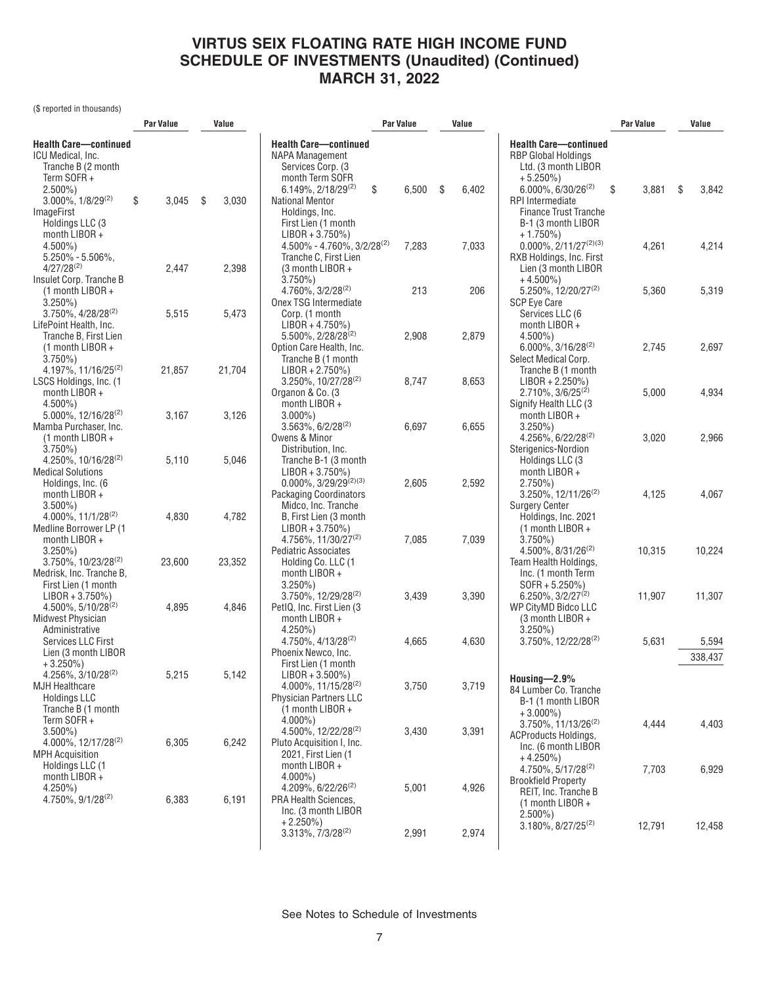(\$ reported in thousands)

|                                                    | Par Value   | Value       |                                                | Par Value   |    | Value |                                                            | Par Value   |      | Value   |
|----------------------------------------------------|-------------|-------------|------------------------------------------------|-------------|----|-------|------------------------------------------------------------|-------------|------|---------|
| <b>Health Care-continued</b>                       |             |             | <b>Health Care-continued</b>                   |             |    |       | <b>Health Care-continued</b>                               |             |      |         |
| ICU Medical, Inc.                                  |             |             | NAPA Management                                |             |    |       | <b>RBP Global Holdings</b>                                 |             |      |         |
| Tranche B (2 month                                 |             |             | Services Corp. (3                              |             |    |       | Ltd. (3 month LIBOR                                        |             |      |         |
| Term SOFR+                                         |             |             | month Term SOFR                                |             |    |       | $+5.250\%$                                                 |             |      |         |
| $2.500\%$ )                                        |             |             | $6.149\%, 2/18/29^{(2)}$                       | \$<br>6,500 | \$ | 6,402 | $6.000\%$ , $6/30/26^{(2)}$                                | 3,881<br>\$ | - \$ | 3,842   |
| 3.000%, 1/8/29(2)                                  | \$<br>3,045 | \$<br>3,030 | <b>National Mentor</b>                         |             |    |       | <b>RPI</b> Intermediate                                    |             |      |         |
| <b>ImageFirst</b>                                  |             |             | Holdings, Inc.                                 |             |    |       | <b>Finance Trust Tranche</b>                               |             |      |         |
| Holdings LLC (3                                    |             |             | First Lien (1 month                            |             |    |       | B-1 (3 month LIBOR                                         |             |      |         |
| month $LIBOR +$                                    |             |             | $LIBOR + 3.750\%)$                             |             |    |       | $+1.750\%$                                                 |             |      |         |
| $4.500\%$ )                                        |             |             | $4.500\% - 4.760\%$ , $3/2/28^{(2)}$           | 7,283       |    | 7,033 | $0.000\%, 2/11/27^{(2)(3)}$                                | 4,261       |      | 4,214   |
| $5.250\% - 5.506\%$ ,                              |             |             | Tranche C, First Lien                          |             |    |       | RXB Holdings, Inc. First                                   |             |      |         |
| $4/27/28^{(2)}$                                    | 2,447       | 2,398       | (3 month LIBOR +                               |             |    |       | Lien (3 month LIBOR                                        |             |      |         |
| Insulet Corp. Tranche B                            |             |             | $3.750\%$                                      |             |    |       | $+4.500\%$                                                 |             |      |         |
| $(1$ month LIBOR +                                 |             |             | 4.760%, 3/2/28 <sup>(2)</sup>                  | 213         |    | 206   | 5.250%, 12/20/27 <sup>(2)</sup>                            | 5,360       |      | 5,319   |
| $3.250\%$ )                                        |             |             | Onex TSG Intermediate                          |             |    |       | <b>SCP Eye Care</b>                                        |             |      |         |
| $3.750\%$ , 4/28/28 <sup>(2)</sup>                 | 5,515       | 5,473       | Corp. (1 month                                 |             |    |       | Services LLC (6                                            |             |      |         |
| LifePoint Health, Inc.                             |             |             | $LIBOR + 4.750\%)$                             |             |    |       | month LIBOR +                                              |             |      |         |
| Tranche B, First Lien                              |             |             | 5.500%, 2/28/28 <sup>(2)</sup>                 | 2,908       |    | 2,879 | $4.500\%$ )                                                | 2,745       |      |         |
| $(1$ month LIBOR +<br>$3.750\%)$                   |             |             | Option Care Health, Inc.<br>Tranche B (1 month |             |    |       | $6.000\%$ , 3/16/28 <sup>(2)</sup><br>Select Medical Corp. |             |      | 2,697   |
| 4.197%, 11/16/25 <sup>(2)</sup>                    | 21,857      | 21,704      | $LIBOR + 2.750\%)$                             |             |    |       | Tranche B (1 month                                         |             |      |         |
| LSCS Holdings, Inc. (1                             |             |             | 3.250%, 10/27/28(2)                            | 8,747       |    | 8,653 | $LIBOR + 2.250\%)$                                         |             |      |         |
| month LIBOR +                                      |             |             | Organon & Co. (3                               |             |    |       | $2.710\%$ , $3/6/25^{(2)}$                                 | 5,000       |      | 4,934   |
| $4.500\%$ )                                        |             |             | month LIBOR +                                  |             |    |       | Signify Health LLC (3)                                     |             |      |         |
| 5.000%, 12/16/28 <sup>(2)</sup>                    | 3,167       | 3,126       | $3.000\%$ )                                    |             |    |       | month LIBOR +                                              |             |      |         |
| Mamba Purchaser, Inc.                              |             |             | $3.563\%, 6/2/28^{(2)}$                        | 6,697       |    | 6,655 | $3.250\%$ )                                                |             |      |         |
| $(1$ month LIBOR +                                 |             |             | Owens & Minor                                  |             |    |       | $4.256\%$ , 6/22/28 <sup>(2)</sup>                         | 3,020       |      | 2,966   |
| $3.750\%$                                          |             |             | Distribution, Inc.                             |             |    |       | Sterigenics-Nordion                                        |             |      |         |
| $4.250\%$ , 10/16/28 <sup>(2)</sup>                | 5,110       | 5,046       | Tranche B-1 (3 month                           |             |    |       | Holdings LLC (3                                            |             |      |         |
| <b>Medical Solutions</b>                           |             |             | $LIBOR + 3.750\%)$                             |             |    |       | month LIBOR +                                              |             |      |         |
| Holdings, Inc. (6                                  |             |             | $0.000\%$ , 3/29/29 <sup>(2)(3)</sup>          | 2,605       |    | 2,592 | $2.750\%)$                                                 |             |      |         |
| month LIBOR +                                      |             |             | <b>Packaging Coordinators</b>                  |             |    |       | 3.250%, 12/11/26 <sup>(2)</sup>                            | 4,125       |      | 4,067   |
| $3.500\%$ )                                        |             |             | Midco, Inc. Tranche                            |             |    |       | <b>Surgery Center</b>                                      |             |      |         |
| 4.000%, 11/1/28(2)                                 | 4,830       | 4,782       | B, First Lien (3 month                         |             |    |       | Holdings, Inc. 2021                                        |             |      |         |
| Medline Borrower LP (1                             |             |             | $LIBOR + 3.750\%)$                             |             |    |       | $(1$ month LIBOR +                                         |             |      |         |
| month LIBOR +                                      |             |             | 4.756%, 11/30/27 <sup>(2)</sup>                | 7,085       |    | 7,039 | $3.750\%$<br>$4.500\%$ , $8/31/26^{(2)}$                   | 10,315      |      | 10,224  |
| $3.250\%$ )<br>$3.750\%$ , 10/23/28 <sup>(2)</sup> | 23,600      | 23,352      | Pediatric Associates<br>Holding Co. LLC (1     |             |    |       | Team Health Holdings,                                      |             |      |         |
| Medrisk, Inc. Tranche B,                           |             |             | month LIBOR +                                  |             |    |       | Inc. (1 month Term                                         |             |      |         |
| First Lien (1 month                                |             |             | $3.250\%$ )                                    |             |    |       | $SOFR + 5.250\%)$                                          |             |      |         |
| $LIBOR + 3.750\%)$                                 |             |             | $3.750\%$ , 12/29/28 <sup>(2)</sup>            | 3,439       |    | 3,390 | $6.250\%$ , $3/2/27^{(2)}$                                 | 11,907      |      | 11,307  |
| $4.500\%$ , 5/10/28 <sup>(2)</sup>                 | 4,895       | 4,846       | PetIQ, Inc. First Lien (3                      |             |    |       | WP CityMD Bidco LLC                                        |             |      |         |
| <b>Midwest Physician</b>                           |             |             | month LIBOR +                                  |             |    |       | (3 month LIBOR +                                           |             |      |         |
| Administrative                                     |             |             | $4.250\%$ )                                    |             |    |       | $3.250\%$ )                                                |             |      |         |
| Services LLC First                                 |             |             | 4.750%, 4/13/28 <sup>(2)</sup>                 | 4,665       |    | 4,630 | $3.750\%$ , 12/22/28 <sup>(2)</sup>                        | 5,631       |      | 5,594   |
| Lien (3 month LIBOR                                |             |             | Phoenix Newco, Inc.                            |             |    |       |                                                            |             |      | 338,437 |
| $+3.250\%)$                                        |             |             | First Lien (1 month                            |             |    |       |                                                            |             |      |         |
| 4.256%, 3/10/28(2)                                 | 5,215       | 5,142       | $LIBOR + 3.500\%)$                             |             |    |       | Housing $-2.9%$                                            |             |      |         |
| <b>MJH Healthcare</b>                              |             |             | $4.000\%$ , 11/15/28 <sup>(2)</sup>            | 3,750       |    | 3,719 | 84 Lumber Co. Tranche                                      |             |      |         |
| <b>Holdings LLC</b><br>Tranche B (1 month)         |             |             | <b>Physician Partners LLC</b>                  |             |    |       | B-1 (1 month LIBOR                                         |             |      |         |
| Term $SOFR +$                                      |             |             | $(1$ month LIBOR +<br>$4.000\%$ )              |             |    |       | $+3.000\%$ )                                               |             |      |         |
| $3.500\%$ )                                        |             |             | 4.500%, 12/22/28 <sup>(2)</sup>                | 3,430       |    | 3,391 | $3.750\%$ , 11/13/26 <sup>(2)</sup>                        | 4,444       |      | 4,403   |
| 4.000%, 12/17/28(2)                                | 6,305       | 6,242       | Pluto Acquisition I, Inc.                      |             |    |       | <b>ACProducts Holdings,</b>                                |             |      |         |
| <b>MPH Acquisition</b>                             |             |             | 2021, First Lien (1                            |             |    |       | Inc. (6 month LIBOR                                        |             |      |         |
| Holdings LLC (1                                    |             |             | month $LIBOR +$                                |             |    |       | $+4.250\%$<br>$4.750\%$ , 5/17/28 <sup>(2)</sup>           |             |      |         |
| month $LIBOR +$                                    |             |             | $4.000\%$                                      |             |    |       | <b>Brookfield Property</b>                                 | 7,703       |      | 6,929   |
| $4.250\%$                                          |             |             | $4.209\%$ , 6/22/26 <sup>(2)</sup>             | 5,001       |    | 4,926 | REIT, Inc. Tranche B                                       |             |      |         |
| 4.750%, 9/1/28(2)                                  | 6,383       | 6,191       | <b>PRA Health Sciences,</b>                    |             |    |       | $(1$ month LIBOR +                                         |             |      |         |
|                                                    |             |             | Inc. (3 month LIBOR                            |             |    |       | $2.500\%$ )                                                |             |      |         |
|                                                    |             |             | $+2.250\%$                                     |             |    |       | $3.180\%$ , $8/27/25^{(2)}$                                | 12,791      |      | 12,458  |
|                                                    |             |             | $3.313\%, 7/3/28^{(2)}$                        | 2,991       |    | 2,974 |                                                            |             |      |         |
|                                                    |             |             |                                                |             |    |       |                                                            |             |      |         |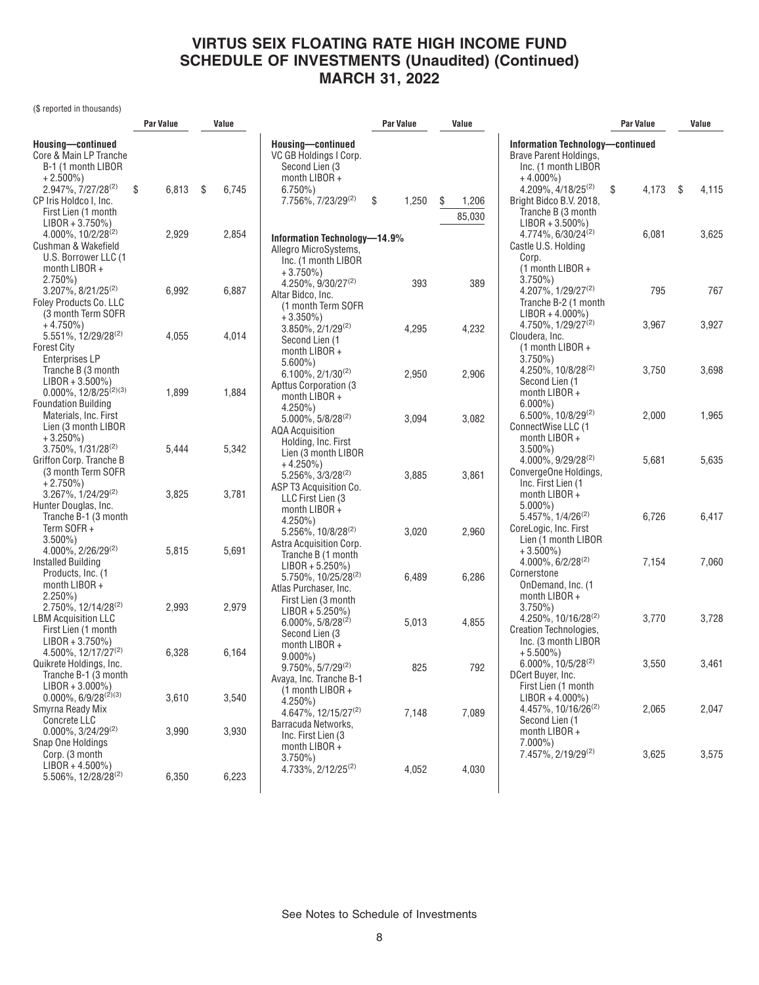(\$ reported in thousands)

|                                                                                                              | Par Value |       | Value        |                                                                                                                             | Par Value   | Value                 |                                                                                                              | <b>Par Value</b> |               |
|--------------------------------------------------------------------------------------------------------------|-----------|-------|--------------|-----------------------------------------------------------------------------------------------------------------------------|-------------|-----------------------|--------------------------------------------------------------------------------------------------------------|------------------|---------------|
| Housing-continued<br>Core & Main LP Tranche<br>B-1 (1 month LIBOR<br>$+2.500\%)$                             |           |       |              | Housing-continued<br>VC GB Holdings I Corp.<br>Second Lien (3<br>month $LIBOR +$                                            |             |                       | <b>Information Technology-continued</b><br>Brave Parent Holdings,<br>Inc. (1 month LIBOR<br>$+4.000\%$ )     |                  |               |
| $2.947\%$ , $7/27/28^{(2)}$<br>CP Iris Holdco I, Inc.<br>First Lien (1 month<br>$LIBOR + 3.750\%)$           | \$        | 6,813 | -\$<br>6,745 | $6.750\%$<br>7.756%, 7/23/29 <sup>(2)</sup>                                                                                 | \$<br>1,250 | S.<br>1,206<br>85,030 | $4.209\%$ , $4/18/25^{(2)}$<br>Bright Bidco B.V. 2018,<br>Tranche B (3 month<br>$LIBOR + 3.500\%)$           | 4,173<br>\$      | - \$<br>4,115 |
| $4.000\%$ , $10/2/28^{(2)}$<br>Cushman & Wakefield<br>U.S. Borrower LLC (1<br>month $LIBOR +$<br>$2.750\%)$  |           | 2,929 | 2,854        | Information Technology-14.9%<br>Allegro MicroSystems,<br>Inc. (1 month LIBOR<br>$+3.750\%$                                  |             |                       | $4.774\%$ , 6/30/24 <sup>(2)</sup><br>Castle U.S. Holding<br>Corp.<br>$(1$ month LIBOR +<br>$3.750\%$        | 6,081            | 3,625         |
| $3.207\%$ , $8/21/25^{(2)}$<br>Foley Products Co. LLC<br>(3 month Term SOFR<br>$+4.750\%)$                   |           | 6,992 | 6,887        | 4.250%, 9/30/27(2)<br>Altar Bidco, Inc.<br>(1 month Term SOFR<br>$+3.350\%$                                                 | 393         | 389                   | 4.207%, $1/29/27^{(2)}$<br>Tranche B-2 (1 month<br>$LIBOR + 4.000\%)$<br>$4.750\%$ , $1/29/27^{(2)}$         | 795<br>3,967     | 767<br>3,927  |
| 5.551%, 12/29/28 <sup>(2)</sup><br><b>Forest City</b><br><b>Enterprises LP</b>                               |           | 4,055 | 4,014        | $3.850\%$ , $2/1/29^{(2)}$<br>Second Lien (1<br>month LIBOR +<br>$5.600\%$                                                  | 4,295       | 4,232                 | Cloudera, Inc.<br>$(1$ month LIBOR +<br>$3.750\%$<br>4.250%, 10/8/28 <sup>(2)</sup>                          | 3,750            | 3,698         |
| Tranche B (3 month<br>$LIBOR + 3.500\%)$<br>$0.000\%, 12/8/25^{(2)(3)}$<br><b>Foundation Building</b>        |           | 1,899 | 1,884        | $6.100\%$ , $2/1/30^{(2)}$<br>Apttus Corporation (3)<br>month $LIBOR +$<br>$4.250\%$                                        | 2,950       | 2,906                 | Second Lien (1<br>month $LIBOR +$<br>$6.000\%$ )                                                             |                  |               |
| Materials, Inc. First<br>Lien (3 month LIBOR<br>$+3.250\%$<br>$3.750\%$ , $1/31/28^{(2)}$                    |           | 5,444 | 5,342        | 5.000%, 5/8/28(2)<br>AQA Acquisition<br>Holding, Inc. First<br>Lien (3 month LIBOR                                          | 3,094       | 3,082                 | 6.500%, 10/8/29(2)<br>ConnectWise LLC (1<br>month $LIBOR +$<br>$3.500\%$                                     | 2,000            | 1,965         |
| Griffon Corp. Tranche B<br>(3 month Term SOFR<br>$+2.750\%)$<br>3.267%, 1/24/29(2)<br>Hunter Douglas, Inc.   |           | 3,825 | 3,781        | $+4.250\%$<br>5.256%, 3/3/28(2)<br>ASP T3 Acquisition Co.<br>LLC First Lien (3<br>month $LIBOR +$                           | 3,885       | 3,861                 | $4.000\%$ , $9/29/28^{(2)}$<br>ConvergeOne Holdings,<br>Inc. First Lien (1<br>month $LIBOR +$<br>$5.000\%$ ) | 5,681            | 5,635         |
| Tranche B-1 (3 month<br>Term SOFR+<br>$3.500\%$<br>4.000%, 2/26/29(2)                                        |           | 5,815 | 5,691        | $4.250\%$ )<br>5.256%, 10/8/28(2)<br>Astra Acquisition Corp.<br>Tranche B (1 month                                          | 3,020       | 2,960                 | 5.457%, 1/4/26 <sup>(2)</sup><br>CoreLogic, Inc. First<br>Lien (1 month LIBOR<br>$+3.500\%$                  | 6,726            | 6,417         |
| Installed Building<br>Products, Inc. (1<br>month $LIBOR +$<br>$2.250\%$ )<br>2.750%, 12/14/28 <sup>(2)</sup> |           | 2,993 | 2,979        | $LIBOR + 5.250\%)$<br>5.750%, 10/25/28 <sup>(2)</sup><br>Atlas Purchaser, Inc.<br>First Lien (3 month<br>$LIBOR + 5.250\%)$ | 6,489       | 6,286                 | $4.000\%$ , 6/2/28 <sup>(2)</sup><br>Cornerstone<br>OnDemand, Inc. (1<br>month LIBOR +<br>$3.750\%$          | 7,154            | 7,060         |
| <b>LBM Acquisition LLC</b><br>First Lien (1 month<br>$LIBOR + 3.750\%)$<br>4.500%, 12/17/27 <sup>(2)</sup>   |           | 6,328 | 6,164        | $6.000\%$ , 5/8/28 <sup>(2)</sup><br>Second Lien (3<br>month LIBOR +<br>$9.000\%$ )                                         | 5,013       | 4,855                 | 4.250%, 10/16/28 <sup>(2)</sup><br>Creation Technologies,<br>Inc. (3 month LIBOR<br>$+5.500\%$ )             | 3,770            | 3,728         |
| Quikrete Holdings, Inc.<br>Tranche B-1 (3 month<br>$LIBOR + 3.000\%$<br>$0.000\%$ , 6/9/28 <sup>(2)(3)</sup> |           | 3,610 | 3,540        | $9.750\%$ , $5/7/29^{(2)}$<br>Avaya, Inc. Tranche B-1<br>(1 month LIBOR +<br>$4.250\%$ )                                    | 825         | 792                   | 6.000%, 10/5/28(2)<br>DCert Buyer, Inc.<br>First Lien (1 month<br>$LIBOR + 4.000\%)$                         | 3,550            | 3,461         |
| Smyrna Ready Mix<br><b>Concrete LLC</b><br>$0.000\%$ , 3/24/29 <sup>(2)</sup><br>Snap One Holdings           |           | 3,990 | 3,930        | 4.647%, 12/15/27 <sup>(2)</sup><br>Barracuda Networks,<br>Inc. First Lien (3<br>month LIBOR +                               | 7,148       | 7,089                 | 4.457%, 10/16/26 <sup>(2)</sup><br>Second Lien (1<br>month LIBOR +<br>$7.000\%$ )                            | 2,065            | 2,047         |
| Corp. (3 month<br>$LIBOR + 4.500\%)$<br>5.506%, 12/28/28 <sup>(2)</sup>                                      |           | 6,350 | 6,223        | $3.750\%$<br>4.733%, 2/12/25 <sup>(2)</sup>                                                                                 | 4,052       | 4,030                 | 7.457%, 2/19/29 <sup>(2)</sup>                                                                               | 3,625            | 3,575         |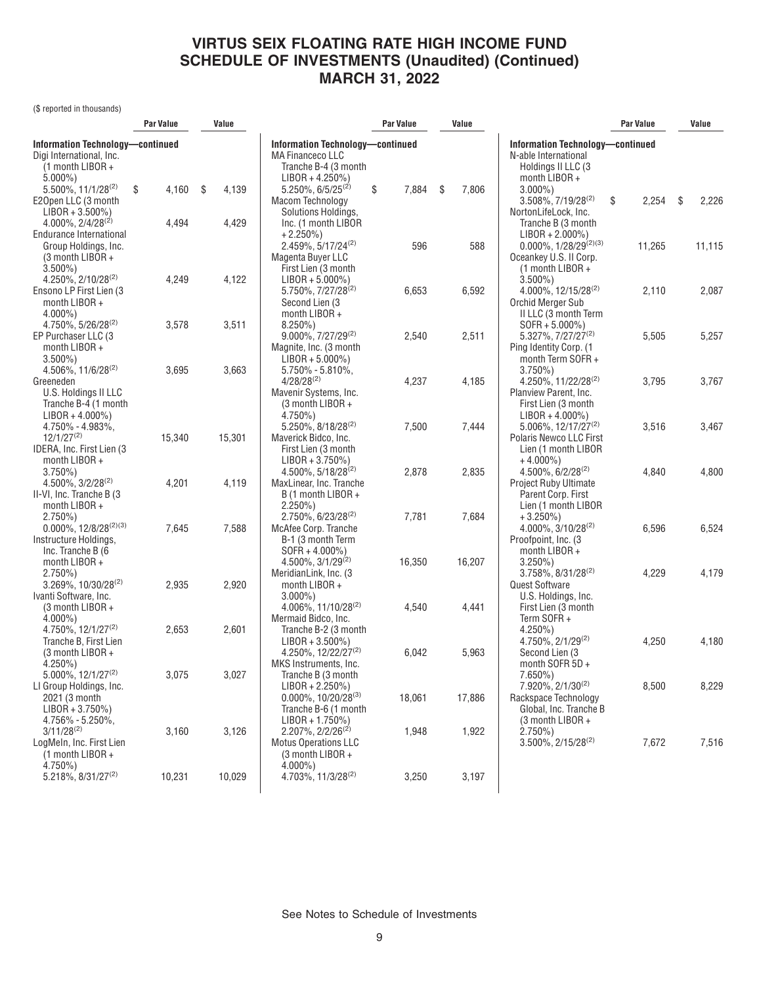(\$ reported in thousands)

|                                                 | Par Value                        | Value        |                                               | Par Value                        | Value |        |                                                                 | <b>Par Value</b> |    | Value  |  |
|-------------------------------------------------|----------------------------------|--------------|-----------------------------------------------|----------------------------------|-------|--------|-----------------------------------------------------------------|------------------|----|--------|--|
| Digi International, Inc.                        | Information Technology-continued |              | <b>MA Financeco LLC</b>                       | Information Technology-continued |       |        | <b>Information Technology-continued</b><br>N-able International |                  |    |        |  |
| $(1$ month LIBOR +                              |                                  |              | Tranche B-4 (3 month                          |                                  |       |        | Holdings II LLC (3                                              |                  |    |        |  |
| $5.000\%$ )                                     |                                  |              | $LIBOR + 4.250\%)$                            |                                  |       |        | month LIBOR +                                                   |                  |    |        |  |
| 5.500%, 11/1/28 <sup>(2)</sup>                  | \$<br>4,160                      | -\$<br>4,139 | $5.250\%$ , 6/5/25 <sup>(2)</sup>             | \$<br>7,884                      | \$    | 7,806  | $3.000\%$ )                                                     |                  |    |        |  |
| E20pen LLC (3 month                             |                                  |              | Macom Technology                              |                                  |       |        | $3.508\%$ , $7/19/28^{(2)}$                                     | \$<br>2,254      | \$ | 2,226  |  |
| $LIBOR + 3.500\%)$                              |                                  |              | Solutions Holdings,                           |                                  |       |        | NortonLifeLock, Inc.                                            |                  |    |        |  |
| $4.000\%$ , $2/4/28^{(2)}$                      | 4,494                            | 4,429        | Inc. (1 month LIBOR                           |                                  |       |        | Tranche B (3 month                                              |                  |    |        |  |
| Endurance International<br>Group Holdings, Inc. |                                  |              | $+2.250\%$                                    | 596                              |       | 588    | $LIBOR + 2.000\%)$<br>$0.000\%$ , 1/28/29 <sup>(2)(3)</sup>     |                  |    |        |  |
| (3 month LIBOR +                                |                                  |              | $2.459\%, 5/17/24^{(2)}$<br>Magenta Buyer LLC |                                  |       |        | Oceankey U.S. II Corp.                                          | 11,265           |    | 11,115 |  |
| $3.500\%$ )                                     |                                  |              | First Lien (3 month                           |                                  |       |        | (1 month LIBOR +                                                |                  |    |        |  |
| $4.250\%, 2/10/28^{(2)}$                        | 4,249                            | 4,122        | $LIBOR + 5.000\%)$                            |                                  |       |        | $3.500\%$ )                                                     |                  |    |        |  |
| Ensono LP First Lien (3                         |                                  |              | 5.750%, 7/27/28 <sup>(2)</sup>                | 6,653                            |       | 6,592  | $4.000\%$ , 12/15/28 <sup>(2)</sup>                             | 2,110            |    | 2,087  |  |
| month LIBOR +                                   |                                  |              | Second Lien (3                                |                                  |       |        | Orchid Merger Sub                                               |                  |    |        |  |
| $4.000\%$ )                                     |                                  |              | month LIBOR +                                 |                                  |       |        | II LLC (3 month Term                                            |                  |    |        |  |
| 4.750%, 5/26/28 <sup>(2)</sup>                  | 3,578                            | 3,511        | $8.250\%$                                     |                                  |       |        | $SOFR + 5.000\%)$                                               |                  |    |        |  |
| EP Purchaser LLC (3                             |                                  |              | $9.000\%, 7/27/29^{(2)}$                      | 2,540                            |       | 2,511  | 5.327%, 7/27/27 <sup>(2)</sup>                                  | 5,505            |    | 5,257  |  |
| month LIBOR +                                   |                                  |              | Magnite, Inc. (3 month                        |                                  |       |        | Ping Identity Corp. (1                                          |                  |    |        |  |
| $3.500\%$                                       |                                  |              | $LIBOR + 5.000\%)$                            |                                  |       |        | month Term SOFR +                                               |                  |    |        |  |
| 4.506%, 11/6/28 <sup>(2)</sup>                  | 3,695                            | 3,663        | $5.750\% - 5.810\%$ ,                         |                                  |       |        | $3.750\%$ )                                                     |                  |    |        |  |
| Greeneden                                       |                                  |              | $4/28/28^{(2)}$                               | 4,237                            |       | 4,185  | 4.250%, 11/22/28 <sup>(2)</sup>                                 | 3,795            |    | 3,767  |  |
| U.S. Holdings II LLC                            |                                  |              | Mavenir Systems, Inc.                         |                                  |       |        | Planview Parent, Inc.                                           |                  |    |        |  |
| Tranche B-4 (1 month                            |                                  |              | (3 month LIBOR +                              |                                  |       |        | First Lien (3 month                                             |                  |    |        |  |
| $LIBOR + 4.000\%)$                              |                                  |              | 4.750%)                                       |                                  |       |        | $LIBOR + 4.000\%)$                                              |                  |    |        |  |
| 4.750% - 4.983%,<br>$12/1/27^{(2)}$             |                                  |              | 5.250%, 8/18/28(2)                            | 7,500                            |       | 7,444  | 5.006%, 12/17/27 <sup>(2)</sup>                                 | 3,516            |    | 3,467  |  |
| IDERA, Inc. First Lien (3                       | 15,340                           | 15,301       | Maverick Bidco, Inc.                          |                                  |       |        | Polaris Newco LLC First<br>Lien (1 month LIBOR                  |                  |    |        |  |
| month LIBOR +                                   |                                  |              | First Lien (3 month<br>$LIBOR + 3.750\%)$     |                                  |       |        | $+4.000\%$                                                      |                  |    |        |  |
| $3.750\%)$                                      |                                  |              | $4.500\%$ , 5/18/28 <sup>(2)</sup>            | 2,878                            |       | 2,835  | $4.500\%$ , 6/2/28 <sup>(2)</sup>                               | 4,840            |    | 4,800  |  |
| $4.500\%$ , $3/2/28^{(2)}$                      | 4,201                            | 4,119        | MaxLinear, Inc. Tranche                       |                                  |       |        | Project Ruby Ultimate                                           |                  |    |        |  |
| II-VI, Inc. Tranche B (3)                       |                                  |              | B (1 month LIBOR +                            |                                  |       |        | Parent Corp. First                                              |                  |    |        |  |
| month LIBOR +                                   |                                  |              | $2.250\%$ )                                   |                                  |       |        | Lien (1 month LIBOR                                             |                  |    |        |  |
| $2.750\%$                                       |                                  |              | $2.750\%$ , 6/23/28 <sup>(2)</sup>            | 7,781                            |       | 7,684  | $+3.250\%)$                                                     |                  |    |        |  |
| $0.000\%$ , 12/8/28 <sup>(2)(3)</sup>           | 7,645                            | 7,588        | McAfee Corp. Tranche                          |                                  |       |        | $4.000\%$ , $3/10/28^{(2)}$                                     | 6,596            |    | 6,524  |  |
| Instructure Holdings,                           |                                  |              | B-1 (3 month Term                             |                                  |       |        | Proofpoint, Inc. (3)                                            |                  |    |        |  |
| Inc. Tranche B (6                               |                                  |              | SOFR + 4.000%)                                |                                  |       |        | month LIBOR +                                                   |                  |    |        |  |
| month LIBOR +                                   |                                  |              | $4.500\%$ , $3/1/29^{(2)}$                    | 16,350                           |       | 16,207 | $3.250\%$ )                                                     |                  |    |        |  |
| $2.750\%)$                                      |                                  |              | MeridianLink, Inc. (3                         |                                  |       |        | $3.758\%$ , $8/31/28^{(2)}$                                     | 4,229            |    | 4,179  |  |
| 3.269%, 10/30/28(2)                             | 2,935                            | 2,920        | month LIBOR +                                 |                                  |       |        | Quest Software                                                  |                  |    |        |  |
| Ivanti Software, Inc.                           |                                  |              | $3.000\%$ )                                   |                                  |       |        | U.S. Holdings, Inc.                                             |                  |    |        |  |
| $(3$ month LIBOR +                              |                                  |              | 4.006%, 11/10/28 <sup>(2)</sup>               | 4,540                            |       | 4,441  | First Lien (3 month                                             |                  |    |        |  |
| $4.000\%$ )<br>4.750%, 12/1/27 <sup>(2)</sup>   | 2,653                            | 2,601        | Mermaid Bidco, Inc.<br>Tranche B-2 (3 month   |                                  |       |        | Term SOFR+<br>$4.250\%$ )                                       |                  |    |        |  |
| Tranche B. First Lien                           |                                  |              | $LIBOR + 3.500\%)$                            |                                  |       |        | $4.750\%$ , $2/1/29^{(2)}$                                      | 4,250            |    | 4,180  |  |
| $(3$ month LIBOR +                              |                                  |              | 4.250%, 12/22/27 <sup>(2)</sup>               | 6,042                            |       | 5,963  | Second Lien (3                                                  |                  |    |        |  |
| $4.250\%$ )                                     |                                  |              | MKS Instruments, Inc.                         |                                  |       |        | month SOFR 5D +                                                 |                  |    |        |  |
| 5.000%, 12/1/27(2)                              | 3,075                            | 3,027        | Tranche B (3 month                            |                                  |       |        | $7.650\%$ )                                                     |                  |    |        |  |
| LI Group Holdings, Inc.                         |                                  |              | $LIBOR + 2.250\%)$                            |                                  |       |        | 7.920%, 2/1/30(2)                                               | 8,500            |    | 8,229  |  |
| 2021 (3 month                                   |                                  |              | $0.000\%$ , 10/20/28 <sup>(3)</sup>           | 18,061                           |       | 17,886 | Rackspace Technology                                            |                  |    |        |  |
| $LIBOR + 3.750\%)$                              |                                  |              | Tranche B-6 (1 month                          |                                  |       |        | Global, Inc. Tranche B                                          |                  |    |        |  |
| 4.756% - 5.250%,                                |                                  |              | $LIBOR + 1.750\%)$                            |                                  |       |        | $(3$ month LIBOR +                                              |                  |    |        |  |
| $3/11/28^{(2)}$                                 | 3,160                            | 3,126        | $2.207\%$ , $2/2/26^{(2)}$                    | 1,948                            |       | 1,922  | $2.750\%$ )                                                     |                  |    |        |  |
| LogMeIn, Inc. First Lien                        |                                  |              | <b>Motus Operations LLC</b>                   |                                  |       |        | 3.500%, 2/15/28 <sup>(2)</sup>                                  | 7,672            |    | 7,516  |  |
| $(1$ month LIBOR +                              |                                  |              | $(3$ month LIBOR +                            |                                  |       |        |                                                                 |                  |    |        |  |
| 4.750%)                                         |                                  |              | $4.000\%$ )                                   |                                  |       |        |                                                                 |                  |    |        |  |
| 5.218%, 8/31/27 <sup>(2)</sup>                  | 10,231                           | 10,029       | 4.703%, 11/3/28 <sup>(2)</sup>                | 3,250                            |       | 3,197  |                                                                 |                  |    |        |  |
|                                                 |                                  |              |                                               |                                  |       |        |                                                                 |                  |    |        |  |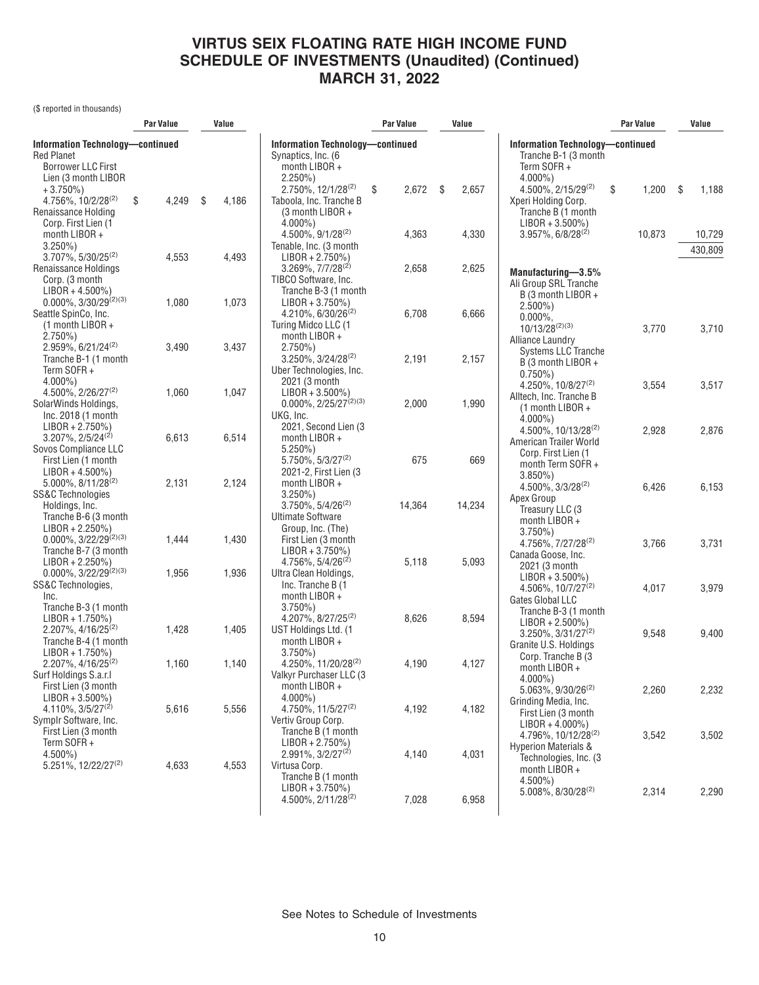(\$ reported in thousands)

|                                                                                                                        | <b>Par Value</b> |    | Value                                                                                         | Par Value                                                                                                  |             | Value |        |                                                                                                                     | <b>Par Value</b> |      | Value             |  |
|------------------------------------------------------------------------------------------------------------------------|------------------|----|-----------------------------------------------------------------------------------------------|------------------------------------------------------------------------------------------------------------|-------------|-------|--------|---------------------------------------------------------------------------------------------------------------------|------------------|------|-------------------|--|
| Information Technology-continued<br><b>Red Planet</b><br><b>Borrower LLC First</b><br>Lien (3 month LIBOR              |                  |    | <b>Information Technology-continued</b><br>Synaptics, Inc. (6<br>month LIBOR +<br>$2.250\%$ ) |                                                                                                            |             |       |        | Information Technology-continued<br>Tranche B-1 (3 month<br>Term SOFR+<br>$4.000\%$ )                               |                  |      |                   |  |
| $+3.750\%)$<br>4.756%, 10/2/28 <sup>(2)</sup><br>Renaissance Holding<br>Corp. First Lien (1                            | \$<br>4,249      | \$ | 4,186                                                                                         | 2.750%, 12/1/28(2)<br>Taboola, Inc. Tranche B<br>$(3$ month LIBOR +<br>$4.000\%$ )                         | 2,672<br>\$ | \$    | 2,657  | $4.500\%$ , $2/15/29^{(2)}$<br>Xperi Holding Corp.<br>Tranche B (1 month<br>$LIBOR + 3.500\%)$                      | \$<br>1,200      | - \$ | 1,188             |  |
| month $LIBOR +$<br>$3.250\%$ )<br>$3.707\%$ , $5/30/25^{(2)}$                                                          | 4,553            |    | 4,493                                                                                         | 4.500%, 9/1/28(2)<br>Tenable, Inc. (3 month<br>$LIBOR + 2.750\%)$                                          | 4,363       |       | 4,330  | $3.957\%$ , 6/8/28 <sup>(2)</sup>                                                                                   | 10,873           |      | 10,729<br>430.809 |  |
| Renaissance Holdings<br>Corp. (3 month<br>$LIBOR + 4.500\%)$<br>$0.000\%, 3/30/29^{(2)(3)}$                            | 1,080            |    | 1,073                                                                                         | $3.269\%, 7/7/28^{(2)}$<br>TIBCO Software, Inc.<br>Tranche B-3 (1 month<br>$LIBOR + 3.750\%)$              | 2,658       |       | 2,625  | Manufacturing-3.5%<br>Ali Group SRL Tranche<br>B (3 month LIBOR +                                                   |                  |      |                   |  |
| Seattle SpinCo, Inc.<br>$(1$ month LIBOR +<br>$2.750\%)$<br>2.959%, 6/21/24 <sup>(2)</sup>                             | 3,490            |    | 3,437                                                                                         | $4.210\%$ , 6/30/26 <sup>(2)</sup><br>Turing Midco LLC (1<br>month $LIBOR +$<br>$2.750\%$                  | 6,708       |       | 6,666  | $2.500\%$ )<br>$0.000\%$<br>$10/13/28^{(2)(3)}$<br>Alliance Laundry                                                 | 3,770            |      | 3,710             |  |
| Tranche B-1 (1 month<br>Term SOFR+<br>$4.000\%$ )                                                                      |                  |    |                                                                                               | $3.250\%$ , $3/24/28^{(2)}$<br>Uber Technologies, Inc.<br>2021 (3 month                                    | 2,191       |       | 2,157  | Systems LLC Tranche<br>B (3 month LIBOR +<br>$0.750\%$<br>4.250%, 10/8/27 <sup>(2)</sup>                            | 3,554            |      | 3,517             |  |
| 4.500%, 2/26/27 <sup>(2)</sup><br>SolarWinds Holdings,<br>Inc. 2018 (1 month<br>$LIBOR + 2.750\%)$                     | 1,060            |    | 1,047                                                                                         | $LIBOR + 3.500\%)$<br>$0.000\%$ , 2/25/27 <sup>(2)(3)</sup><br>UKG, Inc.<br>2021, Second Lien (3           | 2,000       |       | 1,990  | Alltech, Inc. Tranche B<br>(1 month LIBOR +<br>$4.000\%$ )<br>4.500%, 10/13/28 <sup>(2)</sup>                       | 2,928            |      | 2,876             |  |
| $3.207\%$ , $2/5/24^{(2)}$<br>Sovos Compliance LLC<br>First Lien (1 month<br>$LIBOR + 4.500\%)$                        | 6,613            |    | 6,514                                                                                         | month LIBOR +<br>$5.250\%$<br>$5.750\%$ , $5/3/27^{(2)}$<br>2021-2, First Lien (3)                         | 675         |       | 669    | American Trailer World<br>Corp. First Lien (1<br>month Term SOFR +                                                  |                  |      |                   |  |
| 5.000%, 8/11/28(2)<br><b>SS&amp;C Technologies</b><br>Holdings, Inc.<br>Tranche B-6 (3 month                           | 2,131            |    | 2,124                                                                                         | month LIBOR +<br>$3.250\%$ )<br>$3.750\%$ , $5/4/26^{(2)}$<br><b>Ultimate Software</b>                     | 14,364      |       | 14,234 | $3.850\%$ )<br>$4.500\%$ , $3/3/28^{(2)}$<br>Apex Group<br>Treasury LLC (3<br>month LIBOR +                         | 6,426            |      | 6,153             |  |
| $LIBOR + 2.250\%)$<br>$0.000\%$ , 3/22/29 <sup>(2)(3)</sup><br>Tranche B-7 (3 month<br>$LIBOR + 2.250\%)$              | 1,444            |    | 1,430                                                                                         | Group, Inc. (The)<br>First Lien (3 month<br>$LIBOR + 3.750\%)$<br>4.756%, $5/4/26^{(2)}$                   | 5,118       |       | 5,093  | $3.750\%$ )<br>4.756%, 7/27/28 <sup>(2)</sup><br>Canada Goose, Inc.<br>2021 (3 month                                | 3,766            |      | 3,731             |  |
| $0.000\%, 3/22/29^{(2)(3)}$<br>SS&C Technologies,<br>Inc.<br>Tranche B-3 (1 month<br>$LIBOR + 1.750\%)$                | 1,956            |    | 1,936                                                                                         | Ultra Clean Holdings,<br>Inc. Tranche B (1<br>month LIBOR +<br>$3.750\%$<br>4.207%, 8/27/25 <sup>(2)</sup> | 8,626       |       | 8,594  | $LIBOR + 3.500\%)$<br>4.506%, $10/7/27^{(2)}$<br>Gates Global LLC<br>Tranche B-3 (1 month<br>$LIBOR + 2.500\%)$     | 4,017            |      | 3,979             |  |
| $2.207\%$ , 4/16/25 <sup>(2)</sup><br>Tranche B-4 (1 month<br>$LIBOR + 1.750\%)$<br>$2.207\%$ , 4/16/25 <sup>(2)</sup> | 1,428<br>1,160   |    | 1,405<br>1,140                                                                                | UST Holdings Ltd. (1<br>month LIBOR +<br>$3.750\%$<br>4.250%, 11/20/28 <sup>(2)</sup>                      | 4,190       |       | 4,127  | $3.250\%, 3/31/27^{(2)}$<br>Granite U.S. Holdings<br>Corp. Tranche B (3                                             | 9,548            |      | 9,400             |  |
| Surf Holdings S.a.r.l<br>First Lien (3 month<br>$LIBOR + 3.500\%)$                                                     |                  |    |                                                                                               | Valkyr Purchaser LLC (3<br>month LIBOR +<br>$4.000\%$ )                                                    |             |       |        | month LIBOR +<br>$4.000\%$ )<br>$5.063\%$ , $9/30/26^{(2)}$<br>Grinding Media, Inc.                                 | 2,260            |      | 2,232             |  |
| $4.110\%, \frac{3}{5}/\frac{27^{(2)}}{2}$<br>Symplr Software, Inc.<br>First Lien (3 month<br>Term SOFR $+$             | 5,616            |    | 5,556                                                                                         | $4.750\%$ , 11/5/27 <sup>(2)</sup><br>Vertiv Group Corp.<br>Tranche B (1 month<br>$LIBOR + 2.750\%)$       | 4,192       |       | 4,182  | First Lien (3 month<br>$LIBOR + 4.000\%)$<br>$4.796\%$ , 10/12/28 <sup>(2)</sup><br><b>Hyperion Materials &amp;</b> | 3,542            |      | 3,502             |  |
| $4.500\%$ )<br>5.251%, 12/22/27 <sup>(2)</sup>                                                                         | 4,633            |    | 4,553                                                                                         | $2.991\%, 3/2/27^{(2)}$<br>Virtusa Corp.<br>Tranche B (1 month<br>$LIBOR + 3.750\%)$                       | 4,140       |       | 4,031  | Technologies, Inc. (3)<br>month LIBOR +<br>$4.500\%$ )<br>$5.008\%$ , $8/30/28^{(2)}$                               | 2,314            |      | 2,290             |  |
|                                                                                                                        |                  |    |                                                                                               | 4.500%, 2/11/28(2)                                                                                         | 7,028       |       | 6,958  |                                                                                                                     |                  |      |                   |  |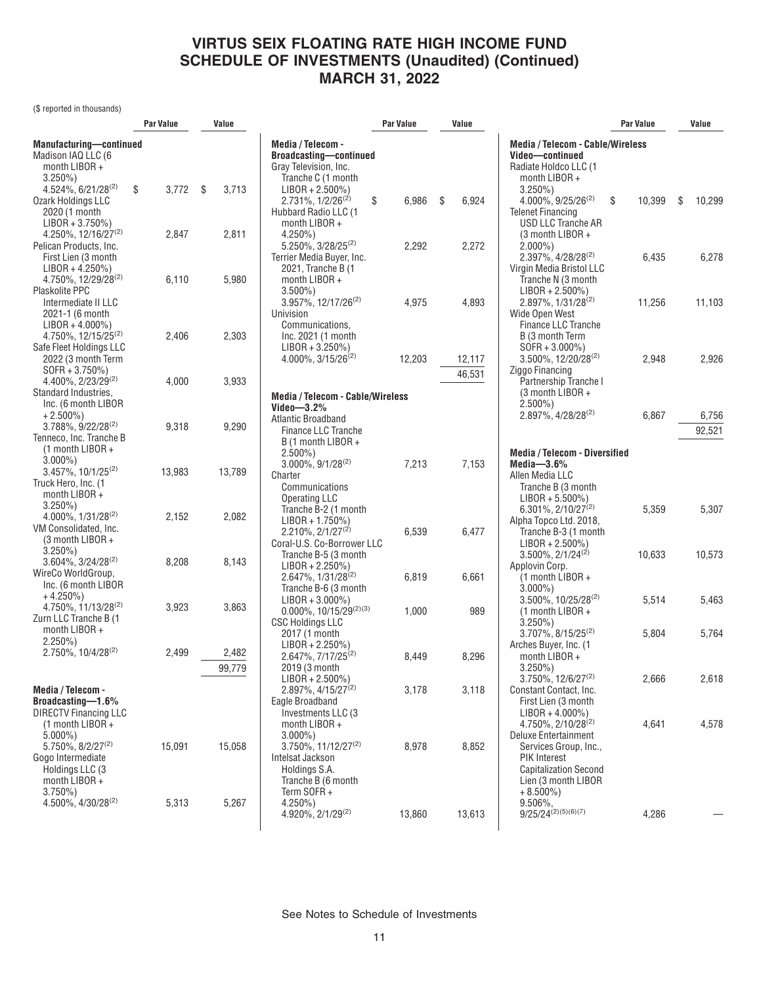(\$ reported in thousands)

|                                                                                                                               | Par Value   | Value           |                                                                                                                                | Par Value      | Value                |                                                                                                                                                               | Par Value      | Value           |
|-------------------------------------------------------------------------------------------------------------------------------|-------------|-----------------|--------------------------------------------------------------------------------------------------------------------------------|----------------|----------------------|---------------------------------------------------------------------------------------------------------------------------------------------------------------|----------------|-----------------|
| Manufacturing-continued<br>Madison IAQ LLC (6<br>month LIBOR +<br>$3.250\%$<br>$4.524\%, 6/21/28^{(2)}$                       | \$<br>3,772 | -\$<br>3,713    | Media / Telecom -<br><b>Broadcasting-continued</b><br>Gray Television, Inc.<br>Tranche C (1 month<br>$LIBOR + 2.500\%)$        |                |                      | <b>Media / Telecom - Cable/Wireless</b><br>Video-continued<br>Radiate Holdco LLC (1<br>month LIBOR +<br>$3.250\%$ )                                           |                |                 |
| Ozark Holdings LLC<br>2020 (1 month<br>$LIBOR + 3.750\%)$<br>4.250%, 12/16/27 <sup>(2)</sup><br>Pelican Products, Inc.        | 2,847       | 2,811           | $2.731\%, 1/2/26^{(2)}$<br>\$<br>Hubbard Radio LLC (1<br>month LIBOR +<br>$4.250\%$ )<br>5.250%, 3/28/25 <sup>(2)</sup>        | 6,986<br>2,292 | \$<br>6,924<br>2,272 | $4.000\%$ , $9/25/26^{(2)}$<br><b>Telenet Financing</b><br>USD LLC Tranche AR<br>(3 month LIBOR +<br>$2.000\%$ )                                              | \$<br>10,399   | S<br>10,299     |
| First Lien (3 month<br>$LIBOR + 4.250\%)$<br>4.750%, 12/29/28 <sup>(2)</sup><br>Plaskolite PPC                                | 6,110       | 5,980           | Terrier Media Buyer, Inc.<br>2021, Tranche B (1<br>month LIBOR +<br>$3.500\%$ )                                                |                |                      | 2.397%, 4/28/28 <sup>(2)</sup><br>Virgin Media Bristol LLC<br>Tranche N (3 month<br>$LIBOR + 2.500\%)$                                                        | 6,435          | 6,278           |
| Intermediate II LLC<br>2021-1 (6 month<br>$LIBOR + 4.000\%)$<br>4.750%, 12/15/25 <sup>(2)</sup><br>Safe Fleet Holdings LLC    | 2,406       | 2,303           | 3.957%, 12/17/26 <sup>(2)</sup><br>Univision<br>Communications,<br>Inc. 2021 (1 month<br>$LIBOR + 3.250\%)$                    | 4,975          | 4,893                | 2.897%, 1/31/28 <sup>(2)</sup><br>Wide Open West<br>Finance LLC Tranche<br>B (3 month Term<br>$SOFR + 3.000\%$                                                | 11,256         | 11,103          |
| 2022 (3 month Term<br>$SOFR + 3.750\%)$<br>4.400%, 2/23/29 <sup>(2)</sup><br>Standard Industries.                             | 4,000       | 3,933           | $4.000\%$ , $3/15/26^{(2)}$                                                                                                    | 12,203         | 12,117<br>46,531     | 3.500%, 12/20/28(2)<br>Ziggo Financing<br>Partnership Tranche I<br>$(3$ month LIBOR +                                                                         | 2,948          | 2,926           |
| Inc. (6 month LIBOR<br>$+2.500\%$<br>$3.788\%, 9/22/28^{(2)}$<br>Tenneco, Inc. Tranche B                                      | 9,318       | 9,290           | <b>Media / Telecom - Cable/Wireless</b><br>Video $-3.2\%$<br><b>Atlantic Broadband</b><br>Finance LLC Tranche                  |                |                      | $2.500\%$ )<br>2.897%, 4/28/28 <sup>(2)</sup>                                                                                                                 | 6,867          | 6,756<br>92,521 |
| $(1$ month LIBOR +<br>$3.000\%$ )<br>$3.457\%$ , 10/1/25 <sup>(2)</sup><br>Truck Hero, Inc. (1                                | 13,983      | 13,789          | B (1 month LIBOR +<br>$2.500\%$ )<br>$3.000\%$ , $9/1/28^{(2)}$<br>Charter<br>Communications                                   | 7,213          | 7,153                | <b>Media / Telecom - Diversified</b><br>Media- $3.6\%$<br>Allen Media LLC<br>Tranche B (3 month                                                               |                |                 |
| month $LIBOR +$<br>$3.250\%$ )<br>4.000%, 1/31/28(2)<br>VM Consolidated, Inc.<br>$(3$ month LIBOR +                           | 2,152       | 2,082           | <b>Operating LLC</b><br>Tranche B-2 (1 month<br>$LIBOR + 1.750\%)$<br>$2.210\%, 2/1/27^{(2)}$                                  | 6,539          | 6,477                | $LIBOR + 5.500\%)$<br>6.301%, 2/10/27 <sup>(2)</sup><br>Alpha Topco Ltd. 2018,<br>Tranche B-3 (1 month                                                        | 5,359          | 5,307           |
| $3.250\%$ )<br>3.604%, 3/24/28(2)<br>WireCo WorldGroup,<br>Inc. (6 month LIBOR                                                | 8,208       | 8,143           | Coral-U.S. Co-Borrower LLC<br>Tranche B-5 (3 month<br>$LIBOR + 2.250\%)$<br>2.647%, 1/31/28 <sup>(2)</sup>                     | 6,819          | 6,661                | $LIBOR + 2.500\%)$<br>$3.500\%$ , $2/1/24^{(2)}$<br>Applovin Corp.<br>$(1$ month LIBOR +                                                                      | 10,633         | 10,573          |
| $+4.250\%$<br>4.750%, 11/13/28 <sup>(2)</sup><br>Zurn LLC Tranche B (1<br>month LIBOR +                                       | 3,923       | 3,863           | Tranche B-6 (3 month<br>$LIBOR + 3.000\%)$<br>$0.000\%$ , 10/15/29 <sup>(2)(3)</sup><br><b>CSC Holdings LLC</b>                | 1,000          | 989                  | $3.000\%$<br>$3.500\%$ , 10/25/28 <sup>(2)</sup><br>$(1$ month LIBOR +<br>$3.250\%$<br>3.707%, 8/15/25(2)                                                     | 5,514<br>5,804 | 5,463<br>5,764  |
| $2.250\%$ )<br>2.750%, 10/4/28(2)                                                                                             | 2,499       | 2,482<br>99,779 | 2017 (1 month<br>$LIBOR + 2.250\%)$<br>2.647%, 7/17/25 <sup>(2)</sup><br>2019 (3 month                                         | 8,449          | 8,296                | Arches Buyer, Inc. (1<br>month LIBOR +<br>$3.250\%$ )                                                                                                         |                |                 |
| Media / Telecom -<br>Broadcasting-1.6%<br><b>DIRECTV Financing LLC</b>                                                        |             |                 | $LIBOR + 2.500\%)$<br>2.897%, 4/15/27 <sup>(2)</sup><br>Eagle Broadband<br>Investments LLC (3                                  | 3,178          | 3,118                | $3.750\%$ , $12/6/27^{(2)}$<br>Constant Contact, Inc.<br>First Lien (3 month<br>$LIBOR + 4.000\%)$                                                            | 2,666          | 2,618           |
| $(1$ month LIBOR +<br>$5.000\%$ )<br>5.750%, 8/2/27 <sup>(2)</sup><br>Gogo Intermediate<br>Holdings LLC (3<br>month $LIBOR +$ | 15,091      | 15,058          | month LIBOR +<br>$3.000\%$ )<br>$3.750\%$ . 11/12/27 <sup>(2)</sup><br>Intelsat Jackson<br>Holdings S.A.<br>Tranche B (6 month | 8,978          | 8,852                | 4.750%, 2/10/28 <sup>(2)</sup><br>Deluxe Entertainment<br>Services Group, Inc.,<br><b>PIK Interest</b><br><b>Capitalization Second</b><br>Lien (3 month LIBOR | 4,641          | 4,578           |
| $3.750\%)$<br>4.500%, 4/30/28 <sup>(2)</sup>                                                                                  | 5,313       | 5,267           | Term SOFR +<br>$4.250\%$ )<br>4.920%, 2/1/29(2)                                                                                | 13,860         | 13,613               | $+8.500\%$ )<br>9.506%,<br>$9/25/24^{(2)(5)(6)(7)}$                                                                                                           | 4,286          |                 |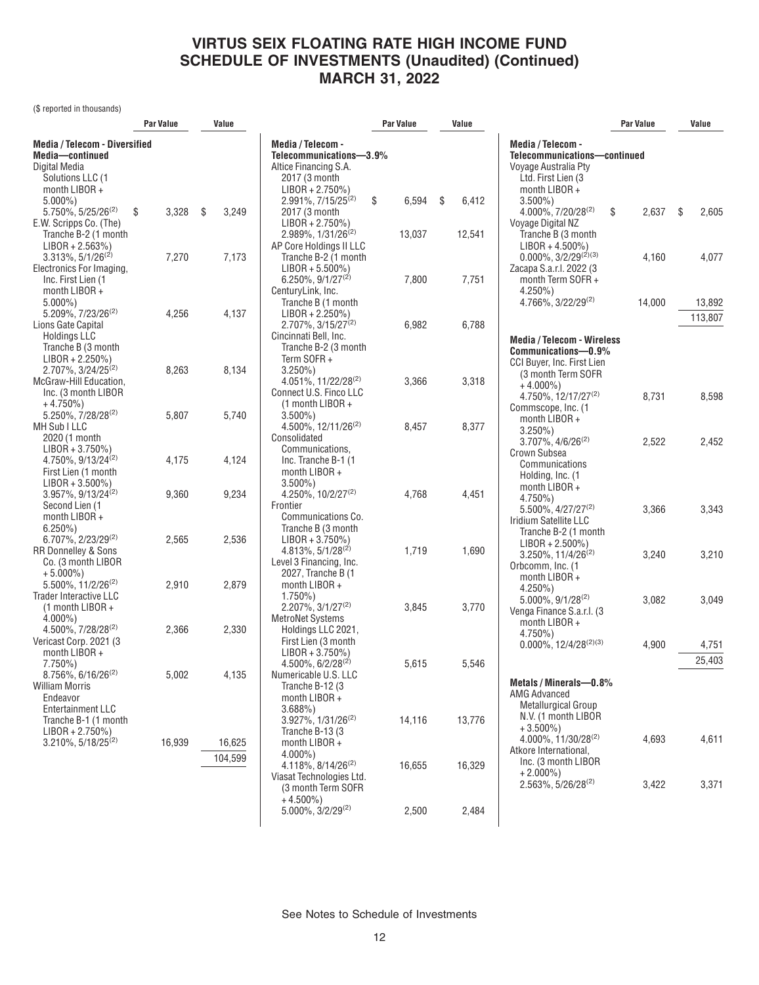(\$ reported in thousands)

|                                                                                                                                | Par Value   | Value             |                                                                                                                                                | <b>Par Value</b> | Value       |                                                                                                                                  | <b>Par Value</b> |     | Value             |
|--------------------------------------------------------------------------------------------------------------------------------|-------------|-------------------|------------------------------------------------------------------------------------------------------------------------------------------------|------------------|-------------|----------------------------------------------------------------------------------------------------------------------------------|------------------|-----|-------------------|
| <b>Media / Telecom - Diversified</b><br>Media-continued<br>Digital Media<br>Solutions LLC (1<br>month $LIBOR +$<br>$5.000\%$ ) |             |                   | Media / Telecom -<br>Telecommunications-3.9%<br>Altice Financing S.A.<br>2017 (3 month<br>$LIBOR + 2.750\%)$<br>2.991%, 7/15/25 <sup>(2)</sup> | \$<br>6,594      | \$<br>6,412 | Media / Telecom -<br>Telecommunications-continued<br>Voyage Australia Pty<br>Ltd. First Lien (3)<br>month LIBOR +<br>$3.500\%$ ) |                  |     |                   |
| 5.750%, 5/25/26 <sup>(2)</sup><br>E.W. Scripps Co. (The)<br>Tranche B-2 (1 month                                               | \$<br>3,328 | \$<br>3,249       | 2017 (3 month<br>$LIBOR + 2.750\%)$<br>$2.989\%$ , $1/31/26^{(2)}$                                                                             | 13,037           | 12,541      | 4.000%, 7/20/28(2)<br>Voyage Digital NZ<br>Tranche B (3 month                                                                    | \$<br>2,637      | -\$ | 2,605             |
| $LIBOR + 2.563\%)$<br>$3.313\%$ , $5/1/26^{(2)}$<br>Electronics For Imaging,<br>Inc. First Lien (1                             | 7,270       | 7,173             | AP Core Holdings II LLC<br>Tranche B-2 (1 month<br>$LIBOR + 5.500\%$<br>$6.250\%$ , $9/1/27^{(2)}$                                             | 7,800            | 7,751       | $LIBOR + 4.500\%)$<br>$0.000\%, 3/2/29^{(2)(3)}$<br>Zacapa S.a.r.l. 2022 (3<br>month Term SOFR +                                 | 4,160            |     | 4,077             |
| month LIBOR +<br>$5.000\%$<br>5.209%, 7/23/26 <sup>(2)</sup><br>Lions Gate Capital                                             | 4,256       | 4,137             | CenturyLink, Inc.<br>Tranche B (1 month<br>$LIBOR + 2.250\%)$<br>$2.707\%$ , 3/15/27 <sup>(2)</sup>                                            | 6,982            | 6,788       | $4.250\%$ )<br>$4.766\%$ , 3/22/29 <sup>(2)</sup>                                                                                | 14,000           |     | 13,892<br>113,807 |
| <b>Holdings LLC</b><br>Tranche B (3 month<br>$LIBOR + 2.250\%)$<br>2.707%, 3/24/25 <sup>(2)</sup><br>McGraw-Hill Education,    | 8,263       | 8,134             | Cincinnati Bell, Inc.<br>Tranche B-2 (3 month<br>Term SOFR+<br>$3.250\%$<br>4.051%, 11/22/28 <sup>(2)</sup>                                    | 3,366            | 3,318       | <b>Media / Telecom - Wireless</b><br>Communications-0.9%<br>CCI Buyer, Inc. First Lien<br>(3 month Term SOFR<br>$+4.000\%$       |                  |     |                   |
| Inc. (3 month LIBOR<br>$+4.750\%)$<br>5.250%, 7/28/28(2)<br>MH Sub I LLC                                                       | 5,807       | 5,740             | Connect U.S. Finco LLC<br>$(1$ month LIBOR +<br>$3.500\%$<br>4.500%, 12/11/26 <sup>(2)</sup>                                                   | 8,457            | 8,377       | 4.750%, 12/17/27 <sup>(2)</sup><br>Commscope, Inc. (1<br>month LIBOR $+$<br>$3.250\%$ )                                          | 8,731            |     | 8,598             |
| 2020 (1 month<br>$LIBOR + 3.750\%)$<br>4.750%, 9/13/24 <sup>(2)</sup><br>First Lien (1 month<br>$LIBOR + 3.500\%)$             | 4,175       | 4,124             | Consolidated<br>Communications,<br>Inc. Tranche B-1 (1<br>month $LIBOR +$<br>$3.500\%$ )                                                       |                  |             | $3.707\%$ , $4/6/26^{(2)}$<br>Crown Subsea<br>Communications<br>Holding, Inc. (1                                                 | 2,522            |     | 2,452             |
| 3.957%, 9/13/24 <sup>(2)</sup><br>Second Lien (1<br>month LIBOR +<br>$6.250\%$                                                 | 9,360       | 9,234             | 4.250%, $10/2/27^{(2)}$<br>Frontier<br>Communications Co.<br>Tranche B (3 month                                                                | 4,768            | 4,451       | month LIBOR +<br>$4.750\%$<br>$5.500\%$ , 4/27/27 <sup>(2)</sup><br>Iridium Satellite LLC<br>Tranche B-2 (1 month                | 3,366            |     | 3,343             |
| 6.707%, 2/23/29(2)<br><b>RR Donnelley &amp; Sons</b><br>Co. (3 month LIBOR<br>$+5.000\%$                                       | 2,565       | 2,536             | $LIBOR + 3.750\%)$<br>$4.813\%, 5/1/28^{(2)}$<br>Level 3 Financing, Inc.<br>2027, Tranche B (1                                                 | 1,719            | 1,690       | $LIBOR + 2.500\%)$<br>$3.250\%$ , 11/4/26 <sup>(2)</sup><br>Orbcomm, Inc. (1)<br>month LIBOR +                                   | 3,240            |     | 3,210             |
| 5.500%, 11/2/26 <sup>(2)</sup><br>Trader Interactive LLC<br>$(1$ month LIBOR +<br>$4.000\%$ )                                  | 2,910       | 2,879             | month LIBOR +<br>$1.750\%$<br>$2.207\%$ , $3/1/27^{(2)}$<br><b>MetroNet Systems</b>                                                            | 3,845            | 3,770       | $4.250\%$ )<br>$5.000\%$ , $9/1/28^{(2)}$<br>Venga Finance S.a.r.l. (3)<br>month $LIBOR +$                                       | 3,082            |     | 3,049             |
| 4.500%, 7/28/28 <sup>(2)</sup><br>Vericast Corp. 2021 (3)<br>month LIBOR +<br>$7.750\%$                                        | 2,366       | 2,330             | Holdings LLC 2021,<br>First Lien (3 month<br>$LIBOR + 3.750\%)$<br>$4.500\%$ , 6/2/28 <sup>(2)</sup>                                           | 5,615            | 5,546       | 4.750%)<br>$0.000\%$ , $12/4/28^{(2)(3)}$                                                                                        | 4,900            |     | 4,751<br>25,403   |
| 8.756%, 6/16/26 <sup>(2)</sup><br><b>William Morris</b><br>Endeavor<br>Entertainment LLC<br>Tranche B-1 (1 month               | 5,002       | 4,135             | Numericable U.S. LLC<br>Tranche B-12 (3<br>month LIBOR $+$<br>3.688%<br>$3.927\%$ , $1/31/26^{(2)}$                                            | 14,116           | 13,776      | Metals / Minerals-0.8%<br><b>AMG Advanced</b><br>Metallurgical Group<br>N.V. (1 month LIBOR<br>$+3.500\%$                        |                  |     |                   |
| $LIBOR + 2.750\%)$<br>$3.210\%$ , 5/18/25 <sup>(2)</sup>                                                                       | 16,939      | 16,625<br>104,599 | Tranche B-13 (3)<br>month LIBOR +<br>$4.000\%$ )<br>4.118%, 8/14/26 <sup>(2)</sup><br>Viasat Technologies Ltd.                                 | 16,655           | 16,329      | $4.000\%$ , 11/30/28 <sup>(2)</sup><br>Atkore International,<br>Inc. (3 month LIBOR<br>$+2.000\%$                                | 4,693            |     | 4,611             |
|                                                                                                                                |             |                   | (3 month Term SOFR<br>$+4.500\%$<br>$5.000\%$ , $3/2/29^{(2)}$                                                                                 | 2,500            | 2,484       | $2.563\%, 5/26/28^{(2)}$                                                                                                         | 3,422            |     | 3,371             |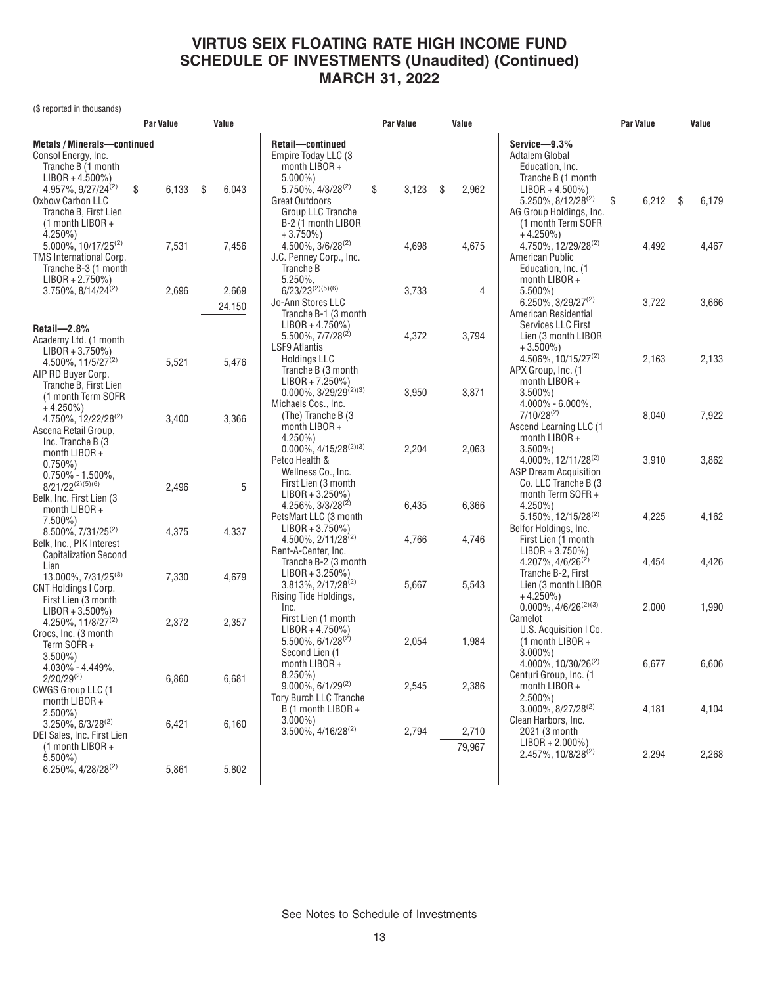(\$ reported in thousands)

|                                                                                                                                                                                                                         | <b>Par Value</b> |                | Value          |                                                                                                                                                                                     | Par Value      | Value           |                                                                                                                                                                                             | <b>Par Value</b> |      | Value          |
|-------------------------------------------------------------------------------------------------------------------------------------------------------------------------------------------------------------------------|------------------|----------------|----------------|-------------------------------------------------------------------------------------------------------------------------------------------------------------------------------------|----------------|-----------------|---------------------------------------------------------------------------------------------------------------------------------------------------------------------------------------------|------------------|------|----------------|
| <b>Metals/Minerals-continued</b><br>Consol Energy, Inc.<br>Tranche B (1 month<br>$LIBOR + 4.500\%)$<br>4.957%, 9/27/24 <sup>(2)</sup><br>Oxbow Carbon LLC<br>Tranche B, First Lien<br>$(1$ month LIBOR +<br>$4.250\%$ ) | \$               | 6,133          | \$<br>6,043    | Retail-continued<br>Empire Today LLC (3<br>month $LIBOR +$<br>$5.000\%$<br>5.750%, 4/3/28 <sup>(2)</sup><br>Great Outdoors<br>Group LLC Tranche<br>B-2 (1 month LIBOR<br>$+3.750\%$ | \$<br>3,123    | \$<br>2,962     | Service-9.3%<br>Adtalem Global<br>Education, Inc.<br>Tranche B (1 month<br>$LIBOR + 4.500\%)$<br>$5.250\%$ , $8/12/28^{(2)}$<br>AG Group Holdings, Inc.<br>(1 month Term SOFR<br>$+4.250\%$ | 6,212<br>\$      | - \$ | 6,179          |
| $5.000\%$ , 10/17/25 <sup>(2)</sup><br>TMS International Corp.<br>Tranche B-3 (1 month<br>$LIBOR + 2.750\%)$<br>3.750%, 8/14/24 <sup>(2)</sup>                                                                          |                  | 7,531<br>2,696 | 7,456<br>2,669 | $4.500\%$ , $3/6/28^{(2)}$<br>J.C. Penney Corp., Inc.<br>Tranche B<br>5.250%,<br>$6/23/23^{(2)(5)(6)}$                                                                              | 4,698<br>3,733 | 4,675<br>4      | 4.750%, 12/29/28 <sup>(2)</sup><br>American Public<br>Education, Inc. (1<br>month LIBOR +<br>$5.500\%$ )                                                                                    | 4,492            |      | 4,467          |
| Retail- $2.8%$<br>Academy Ltd. (1 month                                                                                                                                                                                 |                  |                | 24,150         | Jo-Ann Stores LLC<br>Tranche B-1 (3 month<br>$LIBOR + 4.750\%)$<br>5.500%, 7/7/28 <sup>(2)</sup>                                                                                    | 4,372          | 3,794           | $6.250\%$ , 3/29/27 <sup>(2)</sup><br>American Residential<br>Services LLC First<br>Lien (3 month LIBOR                                                                                     | 3,722            |      | 3,666          |
| $LIBOR + 3.750\%)$<br>4.500%, 11/5/27 <sup>(2)</sup><br>AIP RD Buyer Corp.<br>Tranche B, First Lien<br>(1 month Term SOFR                                                                                               |                  | 5,521          | 5,476          | <b>LSF9 Atlantis</b><br><b>Holdings LLC</b><br>Tranche B (3 month<br>$LIBOR + 7.250\%)$<br>$0.000\%$ , 3/29/29 <sup>(2)(3)</sup>                                                    | 3,950          | 3,871           | $+3.500\%$<br>4.506%, 10/15/27 <sup>(2)</sup><br>APX Group, Inc. (1<br>month LIBOR +<br>$3.500\%$ )                                                                                         | 2,163            |      | 2,133          |
| $+4.250\%)$<br>4.750%, 12/22/28 <sup>(2)</sup><br>Ascena Retail Group,<br>Inc. Tranche B (3)<br>month LIBOR +                                                                                                           |                  | 3,400          | 3,366          | Michaels Cos., Inc.<br>(The) Tranche B (3)<br>month LIBOR +<br>$4.250\%$ )<br>$0.000\%$ , 4/15/28 <sup>(2)(3)</sup>                                                                 | 2,204          | 2,063           | $4.000\% - 6.000\%$<br>$7/10/28^{(2)}$<br>Ascend Learning LLC (1<br>month LIBOR +<br>$3.500\%$ )                                                                                            | 8,040            |      | 7,922          |
| $0.750\%$ )<br>$0.750\% - 1.500\%$ .<br>$8/21/22^{(2)(5)(6)}$<br>Belk, Inc. First Lien (3<br>month $LIBOR +$                                                                                                            |                  | 2,496          | 5              | Petco Health &<br>Wellness Co., Inc.<br>First Lien (3 month<br>$LIBOR + 3.250\%)$<br>$4.256\%$ , $3/3/28^{(2)}$                                                                     | 6,435          | 6,366           | $4.000\%$ , 12/11/28 <sup>(2)</sup><br><b>ASP Dream Acquisition</b><br>Co. LLC Tranche B (3)<br>month Term SOFR +<br>$4.250\%$ )                                                            | 3,910            |      | 3,862          |
| $7.500\%$ )<br>$8.500\%$ , $7/31/25^{(2)}$<br>Belk, Inc., PIK Interest<br><b>Capitalization Second</b>                                                                                                                  |                  | 4,375          | 4,337          | PetsMart LLC (3 month<br>$LIBOR + 3.750\%)$<br>$4.500\%$ , $2/11/28^{(2)}$<br>Rent-A-Center, Inc.<br>Tranche B-2 (3 month                                                           | 4,766          | 4,746           | $5.150\%$ , 12/15/28 <sup>(2)</sup><br>Belfor Holdings, Inc.<br>First Lien (1 month<br>$LIBOR + 3.750\%)$<br>$4.207\%$ , $4/6/26^{(2)}$                                                     | 4,225<br>4,454   |      | 4,162<br>4,426 |
| Lien<br>13.000%, 7/31/25 <sup>(8)</sup><br><b>CNT Holdings I Corp.</b><br>First Lien (3 month                                                                                                                           |                  | 7,330          | 4,679          | $LIBOR + 3.250\%)$<br>$3.813\%, 2/17/28^{(2)}$<br>Rising Tide Holdings,<br>Inc.                                                                                                     | 5,667          | 5,543           | Tranche B-2, First<br>Lien (3 month LIBOR<br>$+4.250\%$<br>$0.000\%$ , $4/6/26^{(2)(3)}$                                                                                                    | 2,000            |      | 1,990          |
| $LIBOR + 3.500\%)$<br>4.250%, 11/8/27 <sup>(2)</sup><br>Crocs, Inc. (3 month<br>Term SOFR+<br>$3.500\%$ )                                                                                                               |                  | 2,372          | 2,357          | First Lien (1 month<br>$LIBOR + 4.750\%)$<br>$5.500\%$ , 6/1/28 <sup>(2)</sup><br>Second Lien (1                                                                                    | 2,054          | 1,984           | Camelot<br>U.S. Acquisition I Co.<br>(1 month LIBOR +<br>$3.000\%$ )                                                                                                                        |                  |      |                |
| $4.030\% - 4.449\%$ ,<br>$2/20/29^{(2)}$<br>CWGS Group LLC (1<br>month LIBOR +                                                                                                                                          |                  | 6,860          | 6,681          | month LIBOR +<br>$8.250\%$ )<br>$9.000\%$ , $6/1/29^{(2)}$<br><b>Tory Burch LLC Tranche</b>                                                                                         | 2,545          | 2,386           | $4.000\%$ , 10/30/26 <sup>(2)</sup><br>Centuri Group, Inc. (1<br>month LIBOR +<br>$2.500\%$ )                                                                                               | 6,677            |      | 6,606          |
| $2.500\%$ )<br>$3.250\%$ , 6/3/28 <sup>(2)</sup><br>DEI Sales, Inc. First Lien<br>$(1$ month LIBOR +                                                                                                                    |                  | 6,421          | 6,160          | B (1 month LIBOR +<br>$3.000\%$ )<br>3.500%, 4/16/28 <sup>(2)</sup>                                                                                                                 | 2,794          | 2,710<br>79,967 | $3.000\%$ , $8/27/28^{(2)}$<br>Clean Harbors, Inc.<br>2021 (3 month<br>$LIBOR + 2.000\%)$                                                                                                   | 4,181            |      | 4,104          |
| $5.500\%$ )<br>$6.250\%$ , 4/28/28 <sup>(2)</sup>                                                                                                                                                                       |                  | 5,861          | 5,802          |                                                                                                                                                                                     |                |                 | $2.457\%$ , 10/8/28 <sup>(2)</sup>                                                                                                                                                          | 2,294            |      | 2,268          |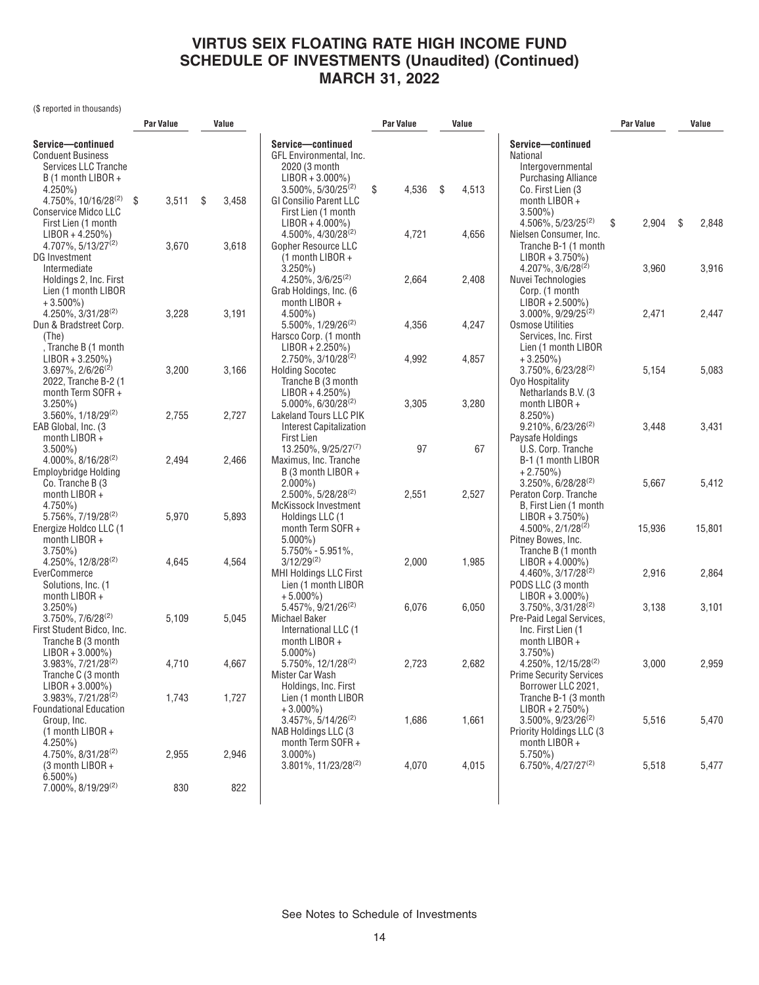(\$ reported in thousands)

|                                                                                             | <b>Par Value</b> | Value       |                                                                                            | Par Value   | Value |       |                                                                                     | <b>Par Value</b> |        | Value       |
|---------------------------------------------------------------------------------------------|------------------|-------------|--------------------------------------------------------------------------------------------|-------------|-------|-------|-------------------------------------------------------------------------------------|------------------|--------|-------------|
| Service-continued<br><b>Conduent Business</b><br>Services LLC Tranche<br>B (1 month LIBOR + |                  |             | Service-continued<br>GFL Environmental, Inc.<br>2020 (3 month<br>$LIBOR + 3.000\%)$        |             |       |       | Service-continued<br>National<br>Intergovernmental<br><b>Purchasing Alliance</b>    |                  |        |             |
| $4.250\%$ )<br>4.750%, 10/16/28 <sup>(2)</sup><br><b>Conservice Midco LLC</b>               | \$<br>3,511      | \$<br>3,458 | $3.500\%$ , $5/30/25^{(2)}$<br><b>GI Consilio Parent LLC</b>                               | \$<br>4,536 | \$    | 4,513 | Co. First Lien (3)<br>month LIBOR +                                                 |                  |        |             |
| First Lien (1 month<br>$LIBOR + 4.250\%)$                                                   |                  |             | First Lien (1 month<br>$LIBOR + 4.000\%$<br>$4.500\%$ , $4/30/28^{(2)}$                    | 4,721       |       | 4,656 | $3.500\%$ )<br>$4.506\%$ , 5/23/25 <sup>(2)</sup><br>Nielsen Consumer, Inc.         | \$               | 2,904  | \$<br>2,848 |
| $4.707\%$ , 5/13/27 <sup>(2)</sup><br>DG Investment<br>Intermediate                         | 3,670            | 3,618       | Gopher Resource LLC<br>$(1$ month LIBOR +<br>$3.250\%$                                     |             |       |       | Tranche B-1 (1 month<br>$LIBOR + 3.750\%)$<br>4.207%, 3/6/28 <sup>(2)</sup>         |                  | 3,960  | 3,916       |
| Holdings 2, Inc. First<br>Lien (1 month LIBOR                                               |                  |             | $4.250\%$ , $3/6/25^{(2)}$<br>Grab Holdings, Inc. (6                                       | 2,664       |       | 2,408 | Nuvei Technologies<br>Corp. (1 month                                                |                  |        |             |
| $+3.500\%$<br>$4.250\%$ , $3/31/28^{(2)}$<br>Dun & Bradstreet Corp.                         | 3,228            | 3,191       | month $LIBOR +$<br>$4.500\%$ )<br>5.500%, 1/29/26 <sup>(2)</sup>                           | 4,356       |       | 4,247 | $LIBOR + 2.500\%)$<br>$3.000\%$ , 9/29/25 <sup>(2)</sup><br><b>Osmose Utilities</b> |                  | 2,471  | 2,447       |
| (The)<br>Tranche B (1 month<br>$LIBOR + 3.250\%)$                                           |                  |             | Harsco Corp. (1 month<br>$LIBOR + 2.250\%)$<br>$2.750\%$ , $3/10/28^{(2)}$                 | 4,992       |       | 4,857 | Services, Inc. First<br>Lien (1 month LIBOR<br>$+3.250\%$                           |                  |        |             |
| $3.697\%$ , $2/6/26^{(2)}$<br>2022, Tranche B-2 (1<br>month Term SOFR+                      | 3,200            | 3,166       | <b>Holding Socotec</b><br>Tranche B (3 month<br>$LIBOR + 4.250\%)$                         |             |       |       | $3.750\%$ , 6/23/28 <sup>(2)</sup><br>Oyo Hospitality<br>Netharlands B.V. (3)       |                  | 5,154  | 5,083       |
| $3.250\%$<br>$3.560\%$ , $1/18/29^{(2)}$                                                    | 2,755            | 2,727       | $5.000\%$ , 6/30/28 <sup>(2)</sup><br>Lakeland Tours LLC PIK                               | 3,305       |       | 3,280 | month $LIBOR +$<br>$8.250\%$                                                        |                  |        |             |
| EAB Global, Inc. (3<br>month $LIBOR +$<br>$3.500\%$                                         |                  |             | <b>Interest Capitalization</b><br><b>First Lien</b><br>$13.250\%$ , 9/25/27 <sup>(7)</sup> | 97          |       | 67    | $9.210\%$ , 6/23/26 <sup>(2)</sup><br>Paysafe Holdings<br>U.S. Corp. Tranche        |                  | 3,448  | 3,431       |
| 4.000%, 8/16/28 <sup>(2)</sup><br><b>Employbridge Holding</b><br>Co. Tranche B (3           | 2,494            | 2,466       | Maximus, Inc. Tranche<br>B (3 month LIBOR +<br>$2.000\%$                                   |             |       |       | B-1 (1 month LIBOR<br>$+2.750\%)$<br>$3.250\%$ , 6/28/28 <sup>(2)</sup>             |                  | 5,667  | 5,412       |
| month LIBOR +<br>$4.750\%$<br>5.756%, 7/19/28 <sup>(2)</sup>                                | 5,970            | 5,893       | 2.500%, 5/28/28 <sup>(2)</sup><br>McKissock Investment<br>Holdings LLC (1                  | 2,551       |       | 2,527 | Peraton Corp. Tranche<br>B, First Lien (1 month<br>$LIBOR + 3.750\%)$               |                  |        |             |
| Energize Holdco LLC (1<br>month $LIBOR +$                                                   |                  |             | month Term SOFR+<br>$5.000\%$ )                                                            |             |       |       | $4.500\%$ , $2/1/28^{(2)}$<br>Pitney Bowes, Inc.                                    |                  | 15,936 | 15,801      |
| $3.750\%$<br>4.250%, 12/8/28(2)<br>EverCommerce                                             | 4,645            | 4,564       | $5.750\% - 5.951\%$<br>$3/12/29^{(2)}$<br>MHI Holdings LLC First                           | 2,000       |       | 1,985 | Tranche B (1 month<br>$LIBOR + 4.000\%)$<br>4.460%, 3/17/28 <sup>(2)</sup>          |                  | 2,916  | 2,864       |
| Solutions, Inc. (1<br>month $LIBOR +$<br>$3.250\%$ )                                        |                  |             | Lien (1 month LIBOR<br>$+5.000\%$<br>5.457%, 9/21/26 <sup>(2)</sup>                        | 6,076       |       | 6,050 | PODS LLC (3 month<br>$LIBOR + 3.000\%)$<br>$3.750\%$ , $3/31/28^{(2)}$              |                  | 3,138  | 3,101       |
| $3.750\%$ , $7/6/28^{(2)}$<br>First Student Bidco, Inc.<br>Tranche B (3 month               | 5,109            | 5,045       | Michael Baker<br>International LLC (1<br>month $LIBOR +$                                   |             |       |       | Pre-Paid Legal Services,<br>Inc. First Lien (1<br>month LIBOR +                     |                  |        |             |
| $LIBOR + 3.000\%)$<br>3.983%, 7/21/28 <sup>(2)</sup><br>Tranche C (3 month                  | 4,710            | 4,667       | $5.000\%$ )<br>5.750%, 12/1/28(2)<br>Mister Car Wash                                       | 2,723       |       | 2,682 | $3.750\%$<br>$4.250\%$ , 12/15/28 <sup>(2)</sup><br><b>Prime Security Services</b>  |                  | 3,000  | 2,959       |
| LIBOR + 3.000%)<br>3.983%, 7/21/28 <sup>(2)</sup><br><b>Foundational Education</b>          | 1,743            | 1,727       | Holdings, Inc. First<br>Lien (1 month LIBOR<br>$+3.000\%$                                  |             |       |       | Borrower LLC 2021,<br>Tranche B-1 (3 month<br>$LIBOR + 2.750\%)$                    |                  |        |             |
| Group, Inc.<br>$(1$ month LIBOR +<br>$4.250\%$ )                                            |                  |             | 3.457%, 5/14/26 <sup>(2)</sup><br>NAB Holdings LLC (3<br>month Term SOFR +                 | 1,686       |       | 1,661 | 3.500%, 9/23/26 <sup>(2)</sup><br>Priority Holdings LLC (3)<br>month $LIBOR +$      |                  | 5,516  | 5,470       |
| $4.750\%$ , $8/31/28^{(2)}$<br>(3 month LIBOR +<br>$6.500\%$                                | 2,955            | 2,946       | $3.000\%$ )<br>3.801%, 11/23/28 <sup>(2)</sup>                                             | 4,070       |       | 4,015 | $5.750\%$ )<br>6.750%, 4/27/27 <sup>(2)</sup>                                       |                  | 5,518  | 5,477       |
| 7.000%, 8/19/29(2)                                                                          | 830              | 822         |                                                                                            |             |       |       |                                                                                     |                  |        |             |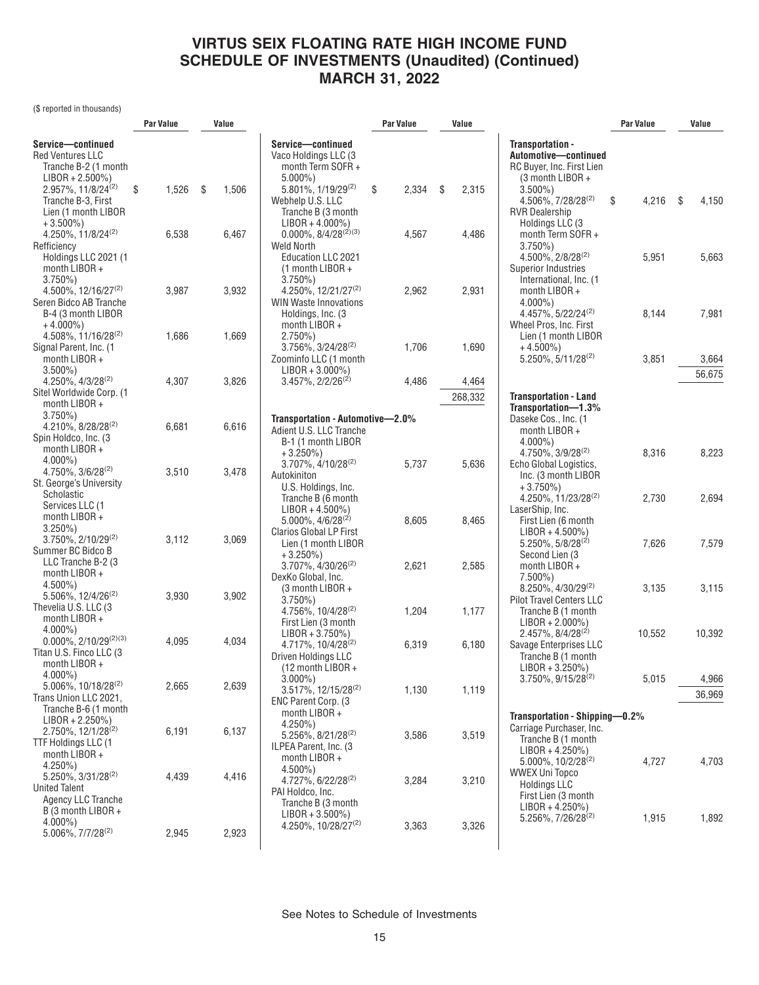(\$ reported in thousands)

|                                               | Par Value |       | Value       |                                          | <b>Par Value</b> | Value       |                                                          | Par Value   |     | Value  |
|-----------------------------------------------|-----------|-------|-------------|------------------------------------------|------------------|-------------|----------------------------------------------------------|-------------|-----|--------|
| Service-continued                             |           |       |             | Service-continued                        |                  |             | Transportation -                                         |             |     |        |
| <b>Red Ventures LLC</b>                       |           |       |             | Vaco Holdings LLC (3                     |                  |             | Automotive-continued                                     |             |     |        |
| Tranche B-2 (1 month                          |           |       |             | month Term SOFR +                        |                  |             | RC Buyer, Inc. First Lien                                |             |     |        |
| LIBOR + 2.500%)                               |           |       |             | $5.000\%$ )                              |                  |             | (3 month LIBOR +                                         |             |     |        |
| 2.957%, 11/8/24 <sup>(2)</sup>                | \$        | 1,526 | \$<br>1,506 | 5.801%, 1/19/29 <sup>(2)</sup>           | \$<br>2,334      | \$<br>2,315 | $3.500\%$ )                                              |             |     |        |
| Tranche B-3, First                            |           |       |             | Webhelp U.S. LLC                         |                  |             | 4.506%, 7/28/28 <sup>(2)</sup>                           | \$<br>4,216 | -\$ | 4,150  |
| Lien (1 month LIBOR                           |           |       |             | Tranche B (3 month                       |                  |             | <b>RVR Dealership</b>                                    |             |     |        |
| $+3.500\%$                                    |           |       |             | $LIBOR + 4.000\%)$                       |                  |             | Holdings LLC (3                                          |             |     |        |
| 4.250%, $11/8/24^{(2)}$                       |           | 6,538 | 6,467       | $0.000\%$ , 8/4/28 <sup>(2)(3)</sup>     | 4,567            | 4,486       | month Term SOFR +                                        |             |     |        |
| Refficiency                                   |           |       |             | Weld North                               |                  |             | $3.750\%$ )                                              |             |     |        |
| Holdings LLC 2021 (1<br>month LIBOR +         |           |       |             | Education LLC 2021<br>$(1$ month LIBOR + |                  |             | $4.500\%$ , $2/8/28^{(2)}$<br><b>Superior Industries</b> | 5,951       |     | 5,663  |
| $3.750\%$                                     |           |       |             | $3.750\%$                                |                  |             | International, Inc. (1                                   |             |     |        |
| 4.500%, 12/16/27 <sup>(2)</sup>               |           | 3,987 | 3,932       | 4.250%, 12/21/27 <sup>(2)</sup>          | 2,962            | 2,931       | month LIBOR +                                            |             |     |        |
| Seren Bidco AB Tranche                        |           |       |             | <b>WIN Waste Innovations</b>             |                  |             | $4.000\%$ )                                              |             |     |        |
| B-4 (3 month LIBOR                            |           |       |             | Holdings, Inc. (3                        |                  |             | $4.457\%$ , $5/22/24^{(2)}$                              | 8,144       |     | 7,981  |
| $+4.000\%$                                    |           |       |             | month LIBOR +                            |                  |             | Wheel Pros, Inc. First                                   |             |     |        |
| $4.508\%$ , 11/16/28 <sup>(2)</sup>           |           | 1,686 | 1,669       | $2.750\%)$                               |                  |             | Lien (1 month LIBOR                                      |             |     |        |
| Signal Parent, Inc. (1                        |           |       |             | $3.756\%$ , $3/24/28^{(2)}$              | 1,706            | 1,690       | $+4.500\%$                                               |             |     |        |
| month $LIBOR +$                               |           |       |             | Zoominfo LLC (1 month                    |                  |             | $5.250\%$ , $5/11/28^{(2)}$                              | 3,851       |     | 3,664  |
| $3.500\%$ )                                   |           |       |             | $LIBOR + 3.000\%)$                       |                  |             |                                                          |             |     | 56,675 |
| 4.250%, 4/3/28 <sup>(2)</sup>                 |           | 4,307 | 3,826       | $3.457\%$ , $2/2/26^{(2)}$               | 4,486            | 4,464       |                                                          |             |     |        |
| Sitel Worldwide Corp. (1                      |           |       |             |                                          |                  | 268,332     | <b>Transportation - Land</b>                             |             |     |        |
| month LIBOR +<br>$3.750\%$                    |           |       |             |                                          |                  |             | Transportation-1.3%                                      |             |     |        |
| 4.210%, 8/28/28 <sup>(2)</sup>                |           | 6,681 | 6,616       | Transportation - Automotive-2.0%         |                  |             | Daseke Cos., Inc. (1                                     |             |     |        |
| Spin Holdco, Inc. (3)                         |           |       |             | Adient U.S. LLC Tranche                  |                  |             | month LIBOR +                                            |             |     |        |
| month LIBOR +                                 |           |       |             | B-1 (1 month LIBOR                       |                  |             | $4.000\%$ )                                              |             |     |        |
| $4.000\%$ )                                   |           |       |             | $+3.250\%)$<br>3.707%, 4/10/28(2)        | 5,737            | 5,636       | $4.750\%$ , $3/9/28^{(2)}$                               | 8,316       |     | 8,223  |
| 4.750%, 3/6/28 <sup>(2)</sup>                 |           | 3,510 | 3,478       | Autokiniton                              |                  |             | Echo Global Logistics,<br>Inc. (3 month LIBOR            |             |     |        |
| St. George's University                       |           |       |             | U.S. Holdings, Inc.                      |                  |             | $+3.750\%)$                                              |             |     |        |
| Scholastic                                    |           |       |             | Tranche B (6 month                       |                  |             | 4.250%, 11/23/28 <sup>(2)</sup>                          | 2,730       |     | 2,694  |
| Services LLC (1                               |           |       |             | $LIBOR + 4.500\%)$                       |                  |             | LaserShip, Inc.                                          |             |     |        |
| month LIBOR +                                 |           |       |             | $5.000\%$ , $4/6/28^{(2)}$               | 8,605            | 8,465       | First Lien (6 month                                      |             |     |        |
| $3.250\%$ )                                   |           |       |             | Clarios Global LP First                  |                  |             | $LIBOR + 4.500\%)$                                       |             |     |        |
| $3.750\%, 2/10/29^{(2)}$                      |           | 3,112 | 3,069       | Lien (1 month LIBOR                      |                  |             | $5.250\%$ , $5/8/28^{(2)}$                               | 7,626       |     | 7,579  |
| Summer BC Bidco B<br>LLC Tranche B-2 (3)      |           |       |             | $+3.250\%)$                              |                  |             | Second Lien (3                                           |             |     |        |
| month LIBOR +                                 |           |       |             | 3.707%, 4/30/26 <sup>(2)</sup>           | 2,621            | 2,585       | month LIBOR +                                            |             |     |        |
| $4.500\%$ )                                   |           |       |             | DexKo Global, Inc.                       |                  |             | $7.500\%$ )                                              |             |     |        |
| 5.506%, 12/4/26 <sup>(2)</sup>                |           | 3,930 | 3,902       | (3 month LIBOR +                         |                  |             | 8.250%, 4/30/29 <sup>(2)</sup>                           | 3,135       |     | 3,115  |
| Thevelia U.S. LLC (3)                         |           |       |             | $3.750\%$<br>4.756%, 10/4/28(2)          | 1,204            | 1,177       | <b>Pilot Travel Centers LLC</b><br>Tranche B (1 month    |             |     |        |
| month LIBOR +                                 |           |       |             | First Lien (3 month                      |                  |             | $LIBOR + 2.000\%)$                                       |             |     |        |
| $4.000\%$ )                                   |           |       |             | $LIBOR + 3.750\%)$                       |                  |             | 2.457%, 8/4/28 <sup>(2)</sup>                            | 10,552      |     | 10,392 |
| $0.000\%, 2/10/29^{(2)(3)}$                   |           | 4,095 | 4,034       | 4.717%, 10/4/28 <sup>(2)</sup>           | 6,319            | 6,180       | Savage Enterprises LLC                                   |             |     |        |
| Titan U.S. Finco LLC (3)                      |           |       |             | Driven Holdings LLC                      |                  |             | Tranche B (1 month                                       |             |     |        |
| month LIBOR +                                 |           |       |             | (12 month LIBOR +                        |                  |             | $LIBOR + 3.250\%)$                                       |             |     |        |
| $4.000\%$ )                                   |           |       |             | $3.000\%$ )                              |                  |             | 3.750%, 9/15/28 <sup>(2)</sup>                           | 5,015       |     | 4,966  |
| $5.006\%,\,10/18/28^{(2)}$                    |           | 2,665 | 2,639       | 3.517%, 12/15/28(2)                      | 1,130            | 1,119       |                                                          |             |     | 36,969 |
| Trans Union LLC 2021,<br>Tranche B-6 (1 month |           |       |             | ENC Parent Corp. (3)                     |                  |             |                                                          |             |     |        |
| $LIBOR + 2.250\%)$                            |           |       |             | month LIBOR +                            |                  |             | Transportation - Shipping-0.2%                           |             |     |        |
| $2.750\%$ , 12/1/28 <sup>(2)</sup>            |           | 6,191 | 6,137       | $4.250\%$                                |                  |             | Carriage Purchaser, Inc.                                 |             |     |        |
| TTF Holdings LLC (1                           |           |       |             | 5.256%, 8/21/28(2)                       | 3,586            | 3,519       | Tranche B (1 month                                       |             |     |        |
| month $LIBOR +$                               |           |       |             | ILPEA Parent, Inc. (3)<br>month LIBOR +  |                  |             | $LIBOR + 4.250\%)$                                       |             |     |        |
| $4.250\%$ )                                   |           |       |             | $4.500\%$ )                              |                  |             | $5.000\%$ , $10/2/28^{(2)}$                              | 4,727       |     | 4,703  |
| 5.250%, 3/31/28 <sup>(2)</sup>                |           | 4,439 | 4,416       | 4.727%, 6/22/28 <sup>(2)</sup>           | 3,284            | 3,210       | <b>WWEX Uni Topco</b>                                    |             |     |        |
| <b>United Talent</b>                          |           |       |             | PAI Holdco, Inc.                         |                  |             | <b>Holdings LLC</b>                                      |             |     |        |
| Agency LLC Tranche                            |           |       |             | Tranche B (3 month                       |                  |             | First Lien (3 month<br>$LIBOR + 4.250\%)$                |             |     |        |
| B (3 month LIBOR +                            |           |       |             | $LIBOR + 3.500\%)$                       |                  |             | 5.256%, 7/26/28 <sup>(2)</sup>                           | 1,915       |     | 1,892  |
| $4.000\%$ )                                   |           |       |             | 4.250%, 10/28/27 <sup>(2)</sup>          | 3,363            | 3,326       |                                                          |             |     |        |
| 5.006%, 7/7/28 <sup>(2)</sup>                 |           | 2,945 | 2,923       |                                          |                  |             |                                                          |             |     |        |
|                                               |           |       |             |                                          |                  |             |                                                          |             |     |        |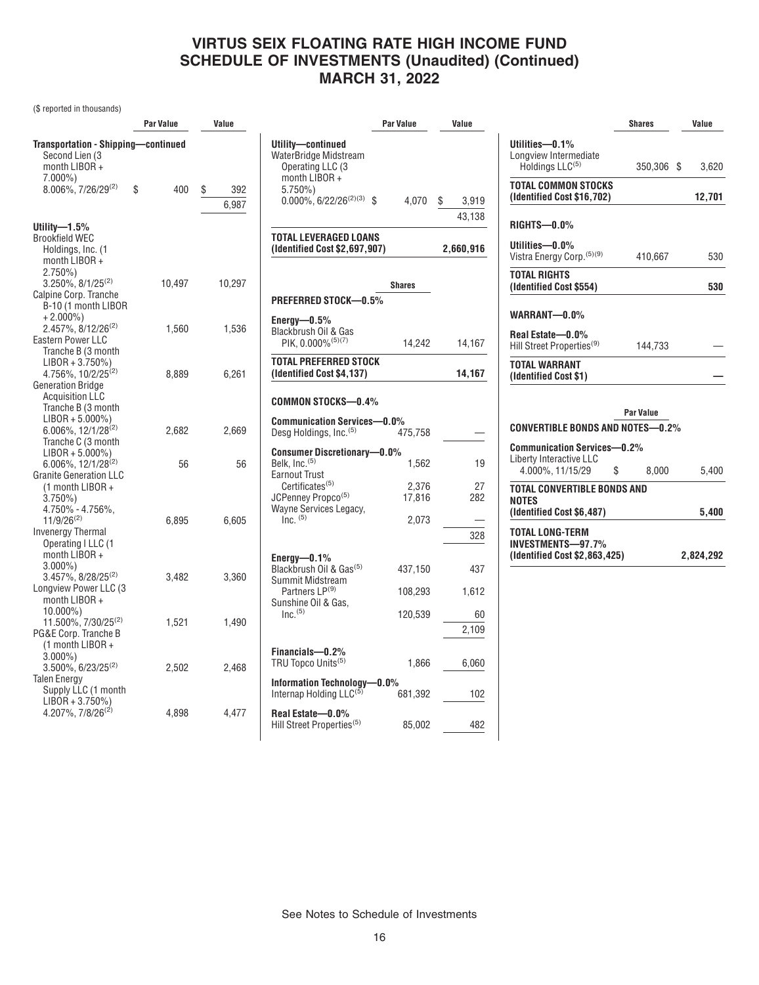(\$ reported in thousands)

|                                               | Par Value | Value     |                                     |
|-----------------------------------------------|-----------|-----------|-------------------------------------|
| <b>Transportation - Shipping-continued</b>    |           |           | Utility—conti                       |
| Second Lien (3                                |           |           | WaterBridge M                       |
| month LIBOR +                                 |           |           | Operating L                         |
| $7.000\%$ )                                   |           |           | month LIBO                          |
| 8.006%, 7/26/29(2)                            | \$<br>400 | \$<br>392 | $5.750\%$                           |
|                                               |           | 6,987     | $0.000\%$ , 6/                      |
|                                               |           |           |                                     |
| Utility-1.5%<br>Brookfield WEC                |           |           | TOTAL LEVER                         |
| Holdings, Inc. (1                             |           |           | (Identified Co                      |
| month LIBOR +                                 |           |           |                                     |
| $2.750\%)$                                    |           |           |                                     |
| $3.250\%$ , $8/1/25^{(2)}$                    | 10,497    | 10,297    |                                     |
| Calpine Corp. Tranche                         |           |           | <b>PREFERRED</b>                    |
| B-10 (1 month LIBOR                           |           |           |                                     |
| $+2.000\%$                                    |           |           | Energy-0.59                         |
| $2.457\%$ , 8/12/26 <sup>(2)</sup>            | 1,560     | 1,536     | Blackbrush Oi                       |
| Eastern Power LLC                             |           |           | PIK, 0.0009                         |
| Tranche B (3 month                            |           |           | <b>TOTAL PREFE</b>                  |
| $LIBOR + 3.750\%)$<br>4.756%, 10/2/25(2)      | 8,889     | 6,261     | (Identified Co                      |
| <b>Generation Bridge</b>                      |           |           |                                     |
| <b>Acquisition LLC</b>                        |           |           |                                     |
| Tranche B (3 month                            |           |           | <b>COMMON ST</b>                    |
| $LIBOR + 5.000\%)$                            |           |           | Communicati                         |
| 6.006%, 12/1/28(2)                            | 2,682     | 2,669     | Desg Holding                        |
| Tranche C (3 month                            |           |           |                                     |
| $LIBOR + 5.000\%)$                            |           |           | <b>Consumer Dist</b>                |
| 6.006%, 12/1/28 <sup>(2)</sup>                | 56        | 56        | Belk, Inc. <sup>(5)</sup>           |
| <b>Granite Generation LLC</b>                 |           |           | Earnout Trust                       |
| (1 month LIBOR +<br>$3.750\%)$                |           |           | Certificates<br><b>JCPenney Pro</b> |
| 4.750% - 4.756%,                              |           |           | Wayne Servic                        |
| $11/9/26^{(2)}$                               | 6,895     | 6,605     | $Inc.$ $(5)$                        |
| <b>Invenergy Thermal</b>                      |           |           |                                     |
| Operating I LLC (1                            |           |           |                                     |
| month LIBOR +                                 |           |           | Energy-0.19                         |
| $3.000\%$                                     |           |           | Blackbrush Oi                       |
| 3.457%, 8/28/25 <sup>(2)</sup>                | 3,482     | 3,360     | Summit Mids                         |
| Longview Power LLC (3                         |           |           | <b>Partners LF</b>                  |
| month LIBOR +                                 |           |           | Sunshine Oil &                      |
| $10.000\%$<br>11.500%, 7/30/25 <sup>(2)</sup> | 1,521     | 1,490     | Inc. <sup>(5)</sup>                 |
| PG&E Corp. Tranche B                          |           |           |                                     |
| (1 month LIBOR +                              |           |           |                                     |
| $3.000\%$                                     |           |           | Financials-                         |
| 3.500%, 6/23/25 <sup>(2)</sup>                | 2,502     | 2,468     | TRU Topco Ur                        |
| <b>Talen Energy</b>                           |           |           | <b>Information T</b>                |
| Supply LLC (1 month                           |           |           | Internap Hold                       |
| $LIBOR + 3.750\%)$                            |           |           |                                     |
| 4.207%, 7/8/26 <sup>(2)</sup>                 | 4,898     | 4,477     | Real Estate-                        |
|                                               |           |           | Hill Street Pro                     |

| ue           |                                                                                                                                                                                                    | <b>Par Value</b> | Value                              |
|--------------|----------------------------------------------------------------------------------------------------------------------------------------------------------------------------------------------------|------------------|------------------------------------|
| 392<br>6.987 | Utility-continued<br>WaterBridge Midstream<br>Operating LLC (3<br>month LIBOR +<br>$5.750\%$<br>$0.000\%$ , $6/22/26^{(2)(3)}$ \$<br><b>TOTAL LEVERAGED LOANS</b><br>(Identified Cost \$2,697,907) | 4,070            | \$<br>3,919<br>43,138<br>2,660,916 |
| 0.297        | PREFERRED STOCK-0.5%                                                                                                                                                                               | <b>Shares</b>    |                                    |
| 1,536        | Energy $-0.5\%$<br>Blackbrush Oil & Gas<br>PIK, 0.000%(5)(7)                                                                                                                                       | 14,242           | 14,167                             |
| 6,261        | TOTAL PREFERRED STOCK<br>(Identified Cost \$4,137)                                                                                                                                                 |                  | 14,167                             |
|              | <b>COMMON STOCKS-0.4%</b>                                                                                                                                                                          |                  |                                    |
| 2,669        | <b>Communication Services-0.0%</b><br>Desg Holdings, Inc. <sup>(5)</sup>                                                                                                                           | 475,758          |                                    |
| 56           | <b>Consumer Discretionary-0.0%</b><br>Belk, Inc. <sup>(5)</sup><br><b>Earnout Trust</b>                                                                                                            | 1,562            | 19                                 |
|              | Certificates <sup>(5)</sup><br>JCPenney Propco <sup>(5)</sup><br>Wayne Services Legacy,<br>$Inc.$ $(5)$                                                                                            | 2,376<br>17,816  | 27<br>282                          |
| 6,605        |                                                                                                                                                                                                    | 2,073            | 328                                |
| 3,360        | Energy- $-0.1\%$<br>Blackbrush Oil & Gas <sup>(5)</sup><br>Summit Midstream                                                                                                                        | 437,150          | 437                                |
|              | Partners LP <sup>(9)</sup><br>Sunshine Oil & Gas,                                                                                                                                                  | 108,293          | 1,612                              |
| 1,490        | $Inc.$ <sup>(5)</sup>                                                                                                                                                                              | 120,539          | 60<br>2,109                        |
| 2.468        | Financials-0.2%<br>TRU Topco Units <sup>(5)</sup>                                                                                                                                                  | 1,866            | 6,060                              |
|              | Information Technology-0.0%<br>Internap Holding LLC <sup>(5)</sup>                                                                                                                                 | 681,392          | 102                                |
| 4,477        | Real Estate-0.0%<br>Hill Street Properties <sup>(5)</sup>                                                                                                                                          | 85,002           | 482                                |
|              |                                                                                                                                                                                                    |                  |                                    |

|                                                               | <b>Shares</b> | Value  |
|---------------------------------------------------------------|---------------|--------|
| Utilities-0.1%<br>Longview Intermediate                       |               |        |
| Holdings LLC <sup>(5)</sup>                                   | 350,306 \$    | 3,620  |
| <b>TOTAL COMMON STOCKS</b><br>(Identified Cost \$16,702)      |               | 12,701 |
| RIGHTS-0.0%                                                   |               |        |
| Utilities-0.0%<br>Vistra Energy Corp. (5)(9)                  | 410,667       | 530    |
| <b>TOTAL RIGHTS</b><br>(Identified Cost \$554)                |               | 530    |
| WARRANT-0.0%                                                  |               |        |
| Real Estate-0.0%<br>Hill Street Properties <sup>(9)</sup>     | 144.733       |        |
| <b>TOTAL WARRANT</b><br>(Identified Cost \$1)                 |               |        |
|                                                               |               |        |
| CONVERTIBLE BONDS AND NOTES—0.2%                              | Par Value     |        |
| <b>Communication Services-0.2%</b><br>Liberty Interactive LLC |               |        |
| 4.000%, 11/15/29                                              | \$<br>8,000   | 5,400  |
| TOTAL CONVERTIBLE BONDS AND                                   |               |        |
| <b>NOTES</b><br>(Identified Cost \$6,487)                     |               | 5,400  |
| TOTAL LONG-TERM<br>INVESTMENTS-97.7%                          |               |        |

**(Identified Cost \$2,863,425) 2,824,292**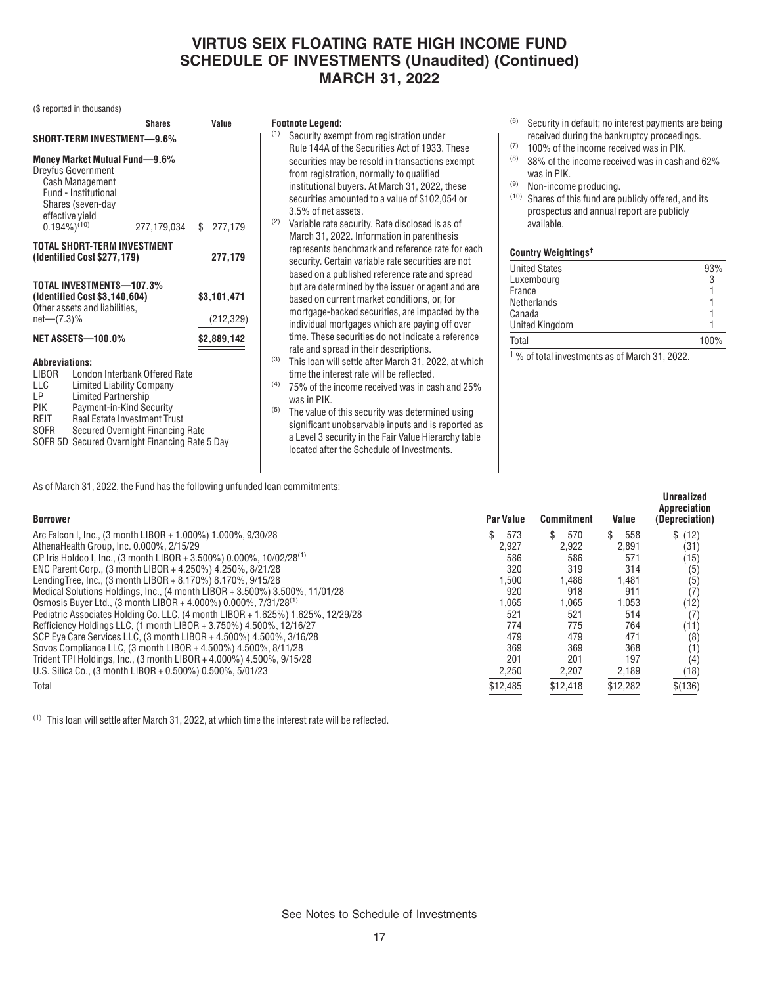(\$ reported in thousands)

| Shares                                                                                                                                                                                                                                                                                                                                       |                                                                                                                            |             |  | Value       |  |  |  |  |
|----------------------------------------------------------------------------------------------------------------------------------------------------------------------------------------------------------------------------------------------------------------------------------------------------------------------------------------------|----------------------------------------------------------------------------------------------------------------------------|-------------|--|-------------|--|--|--|--|
|                                                                                                                                                                                                                                                                                                                                              | SHORT-TERM INVESTMENT-9.6%                                                                                                 |             |  |             |  |  |  |  |
| effective yield                                                                                                                                                                                                                                                                                                                              | Money Market Mutual Fund-9.6%<br><b>Dreyfus Government</b><br>Cash Management<br>Fund - Institutional<br>Shares (seven-day |             |  |             |  |  |  |  |
| $(0.194\%)^{(10)}$                                                                                                                                                                                                                                                                                                                           |                                                                                                                            | 277,179,034 |  | \$277,179   |  |  |  |  |
|                                                                                                                                                                                                                                                                                                                                              | TOTAL SHORT-TERM INVESTMENT<br>(Identified Cost \$277,179)                                                                 |             |  | 277,179     |  |  |  |  |
| TOTAL INVESTMENTS-107.3%<br>(Identified Cost \$3,140,604)<br>Other assets and liabilities,<br>$net-(7.3)\%$                                                                                                                                                                                                                                  | \$3,101,471<br>(212, 329)                                                                                                  |             |  |             |  |  |  |  |
|                                                                                                                                                                                                                                                                                                                                              | NET ASSETS-100.0%                                                                                                          |             |  | \$2,889,142 |  |  |  |  |
| <b>Abbreviations:</b><br>London Interbank Offered Rate<br>LIBOR<br>LLC<br><b>Limited Liability Company</b><br><b>Limited Partnership</b><br>LP<br>Payment-in-Kind Security<br>PIK<br><b>Real Estate Investment Trust</b><br>REIT<br>SOFR<br>Secured Overnight Financing Rate<br>Secured Overnight Financing Rate 5 Day<br>SOFR <sub>5D</sub> |                                                                                                                            |             |  |             |  |  |  |  |

#### **Footnote Legend:**

- (1) Security exempt from registration under Rule 144A of the Securities Act of 1933. These securities may be resold in transactions exempt from registration, normally to qualified institutional buyers. At March 31, 2022, these securities amounted to a value of \$102,054 or 3.5% of net assets.
- (2) Variable rate security. Rate disclosed is as of March 31, 2022. Information in parenthesis represents benchmark and reference rate for each security. Certain variable rate securities are not based on a published reference rate and spread but are determined by the issuer or agent and are based on current market conditions, or, for mortgage-backed securities, are impacted by the individual mortgages which are paying off over time. These securities do not indicate a reference rate and spread in their descriptions.
- (3) This loan will settle after March 31, 2022, at which time the interest rate will be reflected.
- (4) 75% of the income received was in cash and 25% was in PIK.
- (5) The value of this security was determined using significant unobservable inputs and is reported as a Level 3 security in the Fair Value Hierarchy table located after the Schedule of Investments.
- (6) Security in default; no interest payments are being received during the bankruptcy proceedings.
- $(7)$  100% of the income received was in PIK.
- (8) 38% of the income received was in cash and 62% was in PIK.
- (9) Non-income producing.
- (10) Shares of this fund are publicly offered, and its prospectus and annual report are publicly available.

#### **Country Weightings†**

| <b>United States</b>                                      | 93%  |
|-----------------------------------------------------------|------|
| Luxembourg                                                | 3    |
| France                                                    |      |
| Netherlands                                               |      |
| Canada                                                    |      |
| <b>United Kingdom</b>                                     |      |
| Total                                                     | 100% |
| <sup>†</sup> % of total investments as of March 31, 2022. |      |

**Unrealized**

| As of March 31, 2022, the Fund has the following unfunded loan commitments: |  |
|-----------------------------------------------------------------------------|--|
|-----------------------------------------------------------------------------|--|

| <b>Borrower</b>                                                                  | <b>Par Value</b> | <b>Commitment</b> | Value    | <b>Appreciation</b><br>(Depreciation) |
|----------------------------------------------------------------------------------|------------------|-------------------|----------|---------------------------------------|
| Arc Falcon I, Inc., (3 month LIBOR + 1.000%) 1.000%, 9/30/28                     | 573              | S.<br>570         | 558      | \$(12)                                |
| AthenaHealth Group. Inc. 0.000%, 2/15/29                                         | 2.927            | 2.922             | 2,891    | (31)                                  |
| CP Iris Holdco I, Inc., (3 month LIBOR + 3.500%) 0.000%, 10/02/28 <sup>(1)</sup> | 586              | 586               | 571      | (15)                                  |
| ENC Parent Corp., (3 month LIBOR + 4.250%) 4.250%, 8/21/28                       | 320              | 319               | 314      | (5)                                   |
| Lending Tree, Inc., (3 month LIBOR + 8.170%) 8.170%, 9/15/28                     | .500             | .486              | 1,481    | (5)                                   |
| Medical Solutions Holdings, Inc., (4 month LIBOR + 3.500%) 3.500%, 11/01/28      | 920              | 918               | 911      | (7)                                   |
| Osmosis Buyer Ltd., (3 month LIBOR + 4.000%) 0.000%, 7/31/28 <sup>(1)</sup>      | .065             | 1.065             | 1,053    | (12)                                  |
| Pediatric Associates Holding Co. LLC, (4 month LIBOR + 1.625%) 1.625%, 12/29/28  | 521              | 521               | 514      | (7)                                   |
| Refficiency Holdings LLC, (1 month LIBOR + 3.750%) 4.500%, 12/16/27              | 774              | 775               | 764      | (11)                                  |
| SCP Eye Care Services LLC, (3 month LIBOR + 4.500%) 4.500%, 3/16/28              | 479              | 479               | 471      | (8)                                   |
| Sovos Compliance LLC, (3 month LIBOR + 4.500%) 4.500%, 8/11/28                   | 369              | 369               | 368      | (1)                                   |
| Trident TPI Holdings, Inc., (3 month LIBOR + 4.000%) 4.500%, 9/15/28             | 201              | 201               | 197      | (4)                                   |
| U.S. Silica Co., (3 month LIBOR + 0.500%) 0.500%, 5/01/23                        | 2,250            | 2,207             | 2,189    | (18)                                  |
| Total                                                                            | \$12,485         | \$12,418          | \$12,282 | \$(136)                               |

(1) This loan will settle after March 31, 2022, at which time the interest rate will be reflected.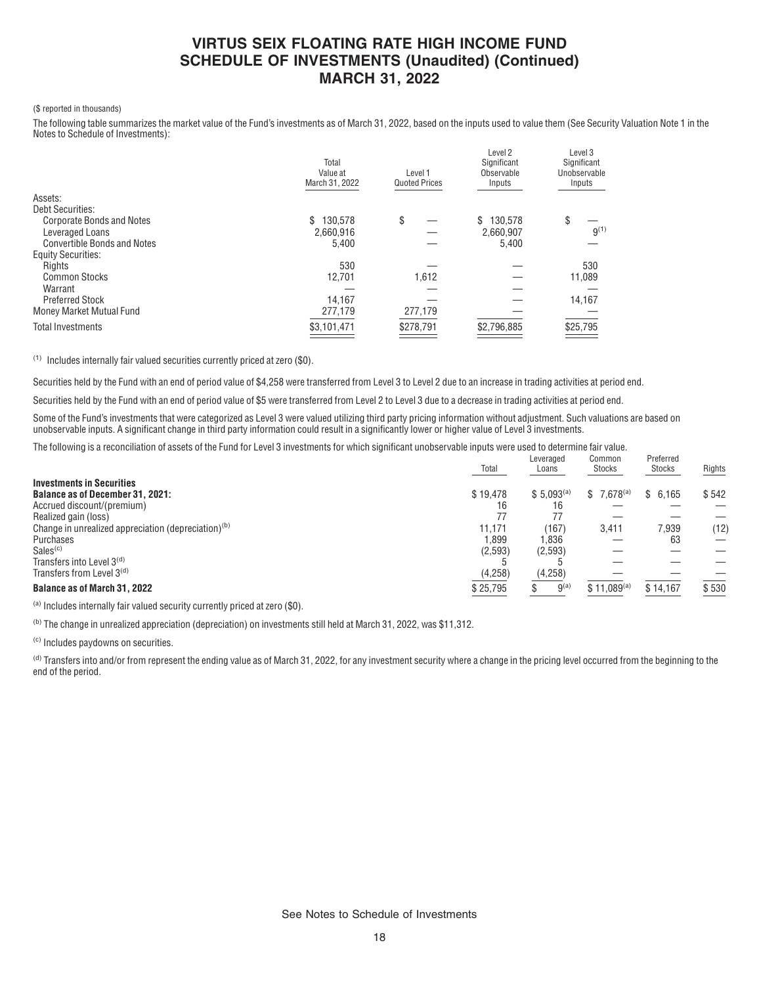#### (\$ reported in thousands)

The following table summarizes the market value of the Fund's investments as of March 31, 2022, based on the inputs used to value them (See Security Valuation Note 1 in the Notes to Schedule of Investments):

|                                    | Total<br>Value at<br>March 31, 2022 | Level 1<br><b>Quoted Prices</b> | Level <sub>2</sub><br>Significant<br>Observable<br>Inputs | Level <sub>3</sub><br>Significant<br>Unobservable<br>Inputs |
|------------------------------------|-------------------------------------|---------------------------------|-----------------------------------------------------------|-------------------------------------------------------------|
| Assets:                            |                                     |                                 |                                                           |                                                             |
| Debt Securities:                   |                                     |                                 |                                                           |                                                             |
| <b>Corporate Bonds and Notes</b>   | 130.578<br>\$                       | \$                              | 130.578                                                   | \$                                                          |
| Leveraged Loans                    | 2.660.916                           |                                 | 2.660.907                                                 | $9^{(1)}$                                                   |
| <b>Convertible Bonds and Notes</b> | 5,400                               |                                 | 5.400                                                     |                                                             |
| <b>Equity Securities:</b>          |                                     |                                 |                                                           |                                                             |
| Rights                             | 530                                 |                                 |                                                           | 530                                                         |
| <b>Common Stocks</b>               | 12,701                              | 1,612                           |                                                           | 11,089                                                      |
| Warrant                            |                                     |                                 |                                                           |                                                             |
| <b>Preferred Stock</b>             | 14,167                              |                                 |                                                           | 14,167                                                      |
| Money Market Mutual Fund           | 277,179                             | 277,179                         |                                                           |                                                             |
| <b>Total Investments</b>           | \$3,101,471                         | \$278,791                       | \$2,796,885                                               | \$25,795                                                    |
|                                    |                                     |                                 |                                                           |                                                             |

(1) Includes internally fair valued securities currently priced at zero (\$0).

Securities held by the Fund with an end of period value of \$4,258 were transferred from Level 3 to Level 2 due to an increase in trading activities at period end.

Securities held by the Fund with an end of period value of \$5 were transferred from Level 2 to Level 3 due to a decrease in trading activities at period end.

Some of the Fund's investments that were categorized as Level 3 were valued utilizing third party pricing information without adjustment. Such valuations are based on unobservable inputs. A significant change in third party information could result in a significantly lower or higher value of Level 3 investments.

The following is a reconciliation of assets of the Fund for Level 3 investments for which significant unobservable inputs were used to determine fair value.

|                                                                 | Total    | Leveraged<br>Loans | Common<br><b>Stocks</b> | Preferred<br>Stocks | Rights |
|-----------------------------------------------------------------|----------|--------------------|-------------------------|---------------------|--------|
| <b>Investments in Securities</b>                                |          |                    |                         |                     |        |
| <b>Balance as of December 31, 2021:</b>                         | \$19.478 | $$5.093^{(a)}$     | $$7.678^{(a)}$          | \$6.165             | \$542  |
| Accrued discount/(premium)                                      | 16       | 16                 |                         |                     |        |
| Realized gain (loss)                                            | 77       | 77                 |                         |                     |        |
| Change in unrealized appreciation (depreciation) <sup>(b)</sup> | 11.171   | (167)              | 3.411                   | 7,939               | (12)   |
| Purchases                                                       | 1.899    | 1.836              |                         | 63                  |        |
| Sales <sup>(c)</sup>                                            | (2,593)  | (2,593)            |                         |                     |        |
| Transfers into Level $3(d)$                                     |          |                    |                         |                     |        |
| Transfers from Level 3 <sup>(d)</sup>                           | (4, 258) | (4,258)            |                         |                     |        |
| <b>Balance as of March 31, 2022</b>                             | \$25,795 | $9^{(a)}$          | $$11.089^{(a)}$         | \$14,167            | \$530  |

Preferred

(a) Includes internally fair valued security currently priced at zero (\$0).

(b) The change in unrealized appreciation (depreciation) on investments still held at March 31, 2022, was \$11,312.

(c) Includes paydowns on securities.

(d) Transfers into and/or from represent the ending value as of March 31, 2022, for any investment security where a change in the pricing level occurred from the beginning to the end of the period.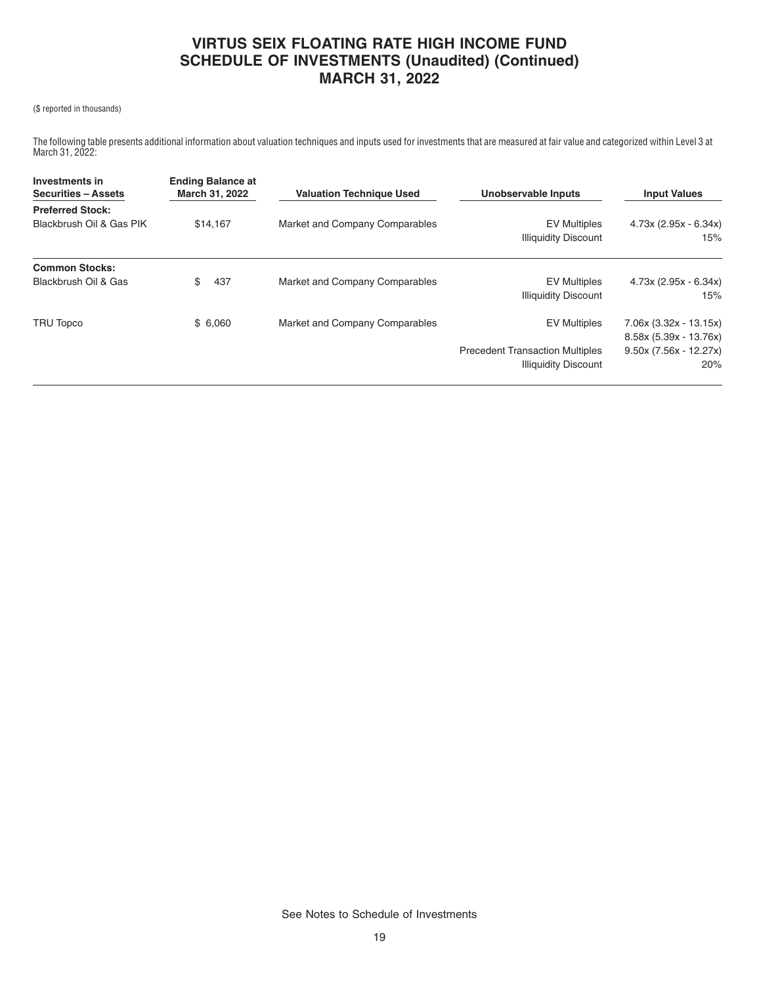#### (\$ reported in thousands)

The following table presents additional information about valuation techniques and inputs used for investments that are measured at fair value and categorized within Level 3 at March 31, 2022:

| Investments in<br><b>Securities - Assets</b> | <b>Ending Balance at</b><br>March 31, 2022 | <b>Valuation Technique Used</b> | Unobservable Inputs                                                   | <b>Input Values</b><br>$4.73x(2.95x - 6.34x)$<br>15% |  |
|----------------------------------------------|--------------------------------------------|---------------------------------|-----------------------------------------------------------------------|------------------------------------------------------|--|
| <b>Preferred Stock:</b>                      | \$14,167                                   |                                 |                                                                       |                                                      |  |
| Blackbrush Oil & Gas PIK                     |                                            | Market and Company Comparables  | <b>EV Multiples</b><br><b>Illiquidity Discount</b>                    |                                                      |  |
| <b>Common Stocks:</b>                        |                                            |                                 |                                                                       |                                                      |  |
| Blackbrush Oil & Gas                         | \$<br>437                                  | Market and Company Comparables  | <b>EV Multiples</b><br><b>Illiquidity Discount</b>                    | $4.73x(2.95x - 6.34x)$<br>15%                        |  |
| TRU Topco                                    | \$6,060                                    | Market and Company Comparables  | <b>EV Multiples</b>                                                   | 7.06x (3.32x - 13.15x)<br>8.58x (5.39x - 13.76x)     |  |
|                                              |                                            |                                 | <b>Precedent Transaction Multiples</b><br><b>Illiquidity Discount</b> | $9.50x(7.56x - 12.27x)$<br>20%                       |  |